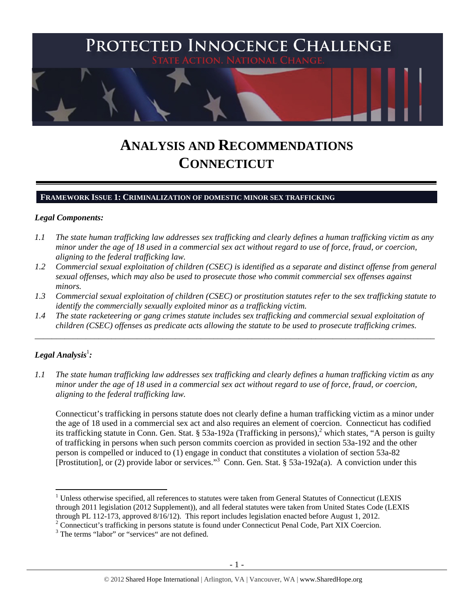

# **ANALYSIS AND RECOMMENDATIONS CONNECTICUT**

## **FRAMEWORK ISSUE 1: CRIMINALIZATION OF DOMESTIC MINOR SEX TRAFFICKING**

#### *Legal Components:*

- *1.1 The state human trafficking law addresses sex trafficking and clearly defines a human trafficking victim as any minor under the age of 18 used in a commercial sex act without regard to use of force, fraud, or coercion, aligning to the federal trafficking law.*
- *1.2 Commercial sexual exploitation of children (CSEC) is identified as a separate and distinct offense from general sexual offenses, which may also be used to prosecute those who commit commercial sex offenses against minors.*
- *1.3 Commercial sexual exploitation of children (CSEC) or prostitution statutes refer to the sex trafficking statute to identify the commercially sexually exploited minor as a trafficking victim.*

\_\_\_\_\_\_\_\_\_\_\_\_\_\_\_\_\_\_\_\_\_\_\_\_\_\_\_\_\_\_\_\_\_\_\_\_\_\_\_\_\_\_\_\_\_\_\_\_\_\_\_\_\_\_\_\_\_\_\_\_\_\_\_\_\_\_\_\_\_\_\_\_\_\_\_\_\_\_\_\_\_\_\_\_\_\_\_\_\_\_\_\_\_\_

*1.4 The state racketeering or gang crimes statute includes sex trafficking and commercial sexual exploitation of children (CSEC) offenses as predicate acts allowing the statute to be used to prosecute trafficking crimes.* 

# ${\it Legal Analysis^!}$  :

 $\overline{a}$ 

*1.1 The state human trafficking law addresses sex trafficking and clearly defines a human trafficking victim as any minor under the age of 18 used in a commercial sex act without regard to use of force, fraud, or coercion, aligning to the federal trafficking law.* 

Connecticut's trafficking in persons statute does not clearly define a human trafficking victim as a minor under the age of 18 used in a commercial sex act and also requires an element of coercion. Connecticut has codified its trafficking statute in Conn. Gen. Stat. § 53a-192a (Trafficking in persons),<sup>2</sup> which states, "A person is guilty of trafficking in persons when such person commits coercion as provided in section 53a-192 and the other person is compelled or induced to (1) engage in conduct that constitutes a violation of section 53a-82 [Prostitution], or (2) provide labor or services."<sup>3</sup> Conn. Gen. Stat. § 53a-192a(a). A conviction under this

<sup>&</sup>lt;sup>1</sup> Unless otherwise specified, all references to statutes were taken from General Statutes of Connecticut (LEXIS through 2011 legislation (2012 Supplement)), and all federal statutes were taken from United States Code (LEXIS through PL 112-173, approved 8/16/12). This report includes legislation enacted before August 1, 2012.

<sup>&</sup>lt;sup>2</sup> Connecticut's trafficking in persons statute is found under Connecticut Penal Code, Part XIX Coercion.

<sup>&</sup>lt;sup>3</sup> The terms "labor" or "services" are not defined.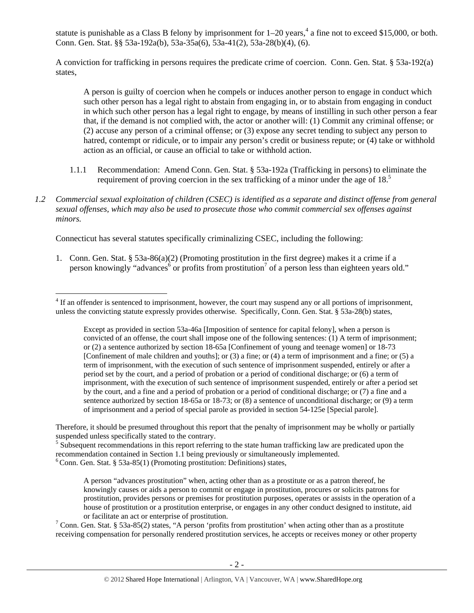statute is punishable as a Class B felony by imprisonment for  $1-20$  years,<sup>4</sup> a fine not to exceed \$15,000, or both. Conn. Gen. Stat. §§ 53a-192a(b), 53a-35a(6), 53a-41(2), 53a-28(b)(4), (6).

A conviction for trafficking in persons requires the predicate crime of coercion. Conn. Gen. Stat. § 53a-192(a) states,

A person is guilty of coercion when he compels or induces another person to engage in conduct which such other person has a legal right to abstain from engaging in, or to abstain from engaging in conduct in which such other person has a legal right to engage, by means of instilling in such other person a fear that, if the demand is not complied with, the actor or another will: (1) Commit any criminal offense; or (2) accuse any person of a criminal offense; or (3) expose any secret tending to subject any person to hatred, contempt or ridicule, or to impair any person's credit or business repute; or (4) take or withhold action as an official, or cause an official to take or withhold action.

- 1.1.1 Recommendation: Amend Conn. Gen. Stat. § 53a-192a (Trafficking in persons) to eliminate the requirement of proving coercion in the sex trafficking of a minor under the age of  $18<sup>5</sup>$
- *1.2 Commercial sexual exploitation of children (CSEC) is identified as a separate and distinct offense from general sexual offenses, which may also be used to prosecute those who commit commercial sex offenses against minors.*

Connecticut has several statutes specifically criminalizing CSEC, including the following:

1. Conn. Gen. Stat. § 53a-86(a)(2) (Promoting prostitution in the first degree) makes it a crime if a person knowingly "advances<sup>6</sup> or profits from prostitution<sup>7</sup> of a person less than eighteen years old."

Therefore, it should be presumed throughout this report that the penalty of imprisonment may be wholly or partially suspended unless specifically stated to the contrary.

<sup>5</sup> Subsequent recommendations in this report referring to the state human trafficking law are predicated upon the recommendation contained in Section 1.1 being previously or simultaneously implemented.

 $6$ Conn. Gen. Stat. § 53a-85(1) (Promoting prostitution: Definitions) states,

 $\overline{a}$ 

A person "advances prostitution" when, acting other than as a prostitute or as a patron thereof, he knowingly causes or aids a person to commit or engage in prostitution, procures or solicits patrons for prostitution, provides persons or premises for prostitution purposes, operates or assists in the operation of a house of prostitution or a prostitution enterprise, or engages in any other conduct designed to institute, aid or facilitate an act or enterprise of prostitution.

<sup>7</sup> Conn. Gen. Stat. § 53a-85(2) states, "A person 'profits from prostitution' when acting other than as a prostitute receiving compensation for personally rendered prostitution services, he accepts or receives money or other property

 $4$  If an offender is sentenced to imprisonment, however, the court may suspend any or all portions of imprisonment, unless the convicting statute expressly provides otherwise. Specifically, Conn. Gen. Stat. § 53a-28(b) states,

Except as provided in section 53a-46a [Imposition of sentence for capital felony], when a person is convicted of an offense, the court shall impose one of the following sentences: (1) A term of imprisonment; or (2) a sentence authorized by section 18-65a [Confinement of young and teenage women] or 18-73 [Confinement of male children and youths]; or (3) a fine; or (4) a term of imprisonment and a fine; or (5) a term of imprisonment, with the execution of such sentence of imprisonment suspended, entirely or after a period set by the court, and a period of probation or a period of conditional discharge; or (6) a term of imprisonment, with the execution of such sentence of imprisonment suspended, entirely or after a period set by the court, and a fine and a period of probation or a period of conditional discharge; or (7) a fine and a sentence authorized by section 18-65a or 18-73; or (8) a sentence of unconditional discharge; or (9) a term of imprisonment and a period of special parole as provided in section 54-125e [Special parole].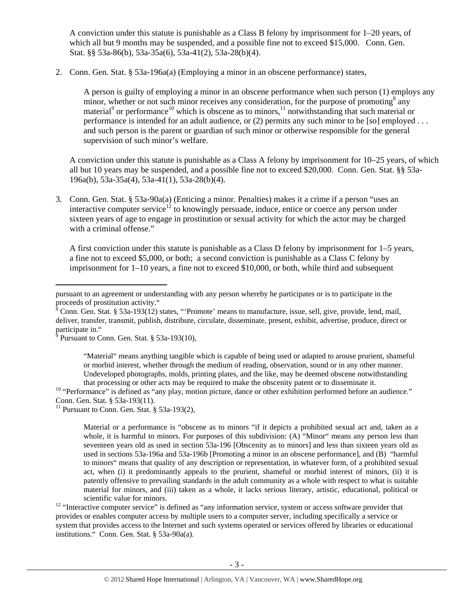A conviction under this statute is punishable as a Class B felony by imprisonment for 1–20 years, of which all but 9 months may be suspended, and a possible fine not to exceed \$15,000. Conn. Gen. Stat. §§ 53a-86(b), 53a-35a(6), 53a-41(2), 53a-28(b)(4).

2. Conn. Gen. Stat. § 53a-196a(a) (Employing a minor in an obscene performance) states,

A person is guilty of employing a minor in an obscene performance when such person (1) employs any minor, whether or not such minor receives any consideration, for the purpose of promoting<sup>8</sup> any material<sup>9</sup> or performance<sup>10</sup> which is obscene as to minors,<sup>11</sup> notwithstanding that such material or performance is intended for an adult audience, or (2) permits any such minor to be [so] employed . . . and such person is the parent or guardian of such minor or otherwise responsible for the general supervision of such minor's welfare.

A conviction under this statute is punishable as a Class A felony by imprisonment for 10–25 years, of which all but 10 years may be suspended, and a possible fine not to exceed \$20,000. Conn. Gen. Stat. §§ 53a-196a(b), 53a-35a(4), 53a-41(1), 53a-28(b)(4).

3. Conn. Gen. Stat. § 53a-90a(a) (Enticing a minor. Penalties) makes it a crime if a person "uses an interactive computer service<sup>12</sup> to knowingly persuade, induce, entice or coerce any person under sixteen years of age to engage in prostitution or sexual activity for which the actor may be charged with a criminal offense."

A first conviction under this statute is punishable as a Class D felony by imprisonment for 1–5 years, a fine not to exceed \$5,000, or both; a second conviction is punishable as a Class C felony by imprisonment for 1–10 years, a fine not to exceed \$10,000, or both, while third and subsequent

"Material" means anything tangible which is capable of being used or adapted to arouse prurient, shameful or morbid interest, whether through the medium of reading, observation, sound or in any other manner. Undeveloped photographs, molds, printing plates, and the like, may be deemed obscene notwithstanding that processing or other acts may be required to make the obscenity patent or to disseminate it.

<sup>10</sup> "Performance" is defined as "any play, motion picture, dance or other exhibition performed before an audience." Conn. Gen. Stat. § 53a-193(11).

<sup>11</sup> Pursuant to Conn. Gen. Stat.  $§$  53a-193(2),

Material or a performance is "obscene as to minors "if it depicts a prohibited sexual act and, taken as a whole, it is harmful to minors. For purposes of this subdivision: (A) "Minor" means any person less than seventeen years old as used in section 53a-196 [Obscenity as to minors] and less than sixteen years old as used in sections 53a-196a and 53a-196b [Promoting a minor in an obscene performance], and (B) "harmful to minors" means that quality of any description or representation, in whatever form, of a prohibited sexual act, when (i) it predominantly appeals to the prurient, shameful or morbid interest of minors, (ii) it is patently offensive to prevailing standards in the adult community as a whole with respect to what is suitable material for minors, and (iii) taken as a whole, it lacks serious literary, artistic, educational, political or

scientific value for minors.<br><sup>12</sup> "Interactive computer service" is defined as "any information service, system or access software provider that provides or enables computer access by multiple users to a computer server, including specifically a service or system that provides access to the Internet and such systems operated or services offered by libraries or educational institutions." Conn. Gen. Stat. § 53a-90a(a).

 $\overline{a}$ pursuant to an agreement or understanding with any person whereby he participates or is to participate in the

proceeds of prostitution activity."<br><sup>8</sup> Conn. Gen. Stat. § 53a-193(12) states, "'Promote' means to manufacture, issue, sell, give, provide, lend, mail, deliver, transfer, transmit, publish, distribute, circulate, disseminate, present, exhibit, advertise, produce, direct or

participate in."<br><sup>9</sup> Pursuant to Conn. Gen. Stat. § 53a-193(10),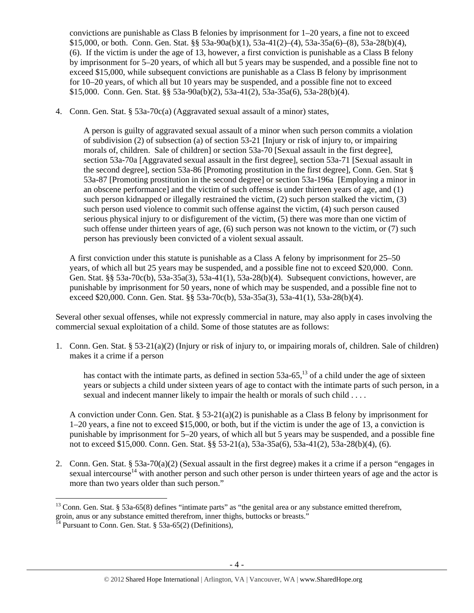convictions are punishable as Class B felonies by imprisonment for 1–20 years, a fine not to exceed \$15,000, or both. Conn. Gen. Stat. §§ 53a-90a(b)(1), 53a-41(2)–(4), 53a-35a(6)–(8), 53a-28(b)(4), (6). If the victim is under the age of 13, however, a first conviction is punishable as a Class B felony by imprisonment for 5–20 years, of which all but 5 years may be suspended, and a possible fine not to exceed \$15,000, while subsequent convictions are punishable as a Class B felony by imprisonment for 10–20 years, of which all but 10 years may be suspended, and a possible fine not to exceed \$15,000. Conn. Gen. Stat. §§ 53a-90a(b)(2), 53a-41(2), 53a-35a(6), 53a-28(b)(4).

4. Conn. Gen. Stat. § 53a-70c(a) (Aggravated sexual assault of a minor) states,

A person is guilty of aggravated sexual assault of a minor when such person commits a violation of subdivision (2) of subsection (a) of section 53-21 [Injury or risk of injury to, or impairing morals of, children. Sale of children] or section 53a-70 [Sexual assault in the first degree], section 53a-70a [Aggravated sexual assault in the first degree], section 53a-71 [Sexual assault in the second degree], section 53a-86 [Promoting prostitution in the first degree], Conn. Gen. Stat § 53a-87 [Promoting prostitution in the second degree] or section 53a-196a [Employing a minor in an obscene performance] and the victim of such offense is under thirteen years of age, and (1) such person kidnapped or illegally restrained the victim, (2) such person stalked the victim, (3) such person used violence to commit such offense against the victim, (4) such person caused serious physical injury to or disfigurement of the victim, (5) there was more than one victim of such offense under thirteen years of age, (6) such person was not known to the victim, or (7) such person has previously been convicted of a violent sexual assault.

A first conviction under this statute is punishable as a Class A felony by imprisonment for 25–50 years, of which all but 25 years may be suspended, and a possible fine not to exceed \$20,000. Conn. Gen. Stat. §§ 53a-70c(b), 53a-35a(3), 53a-41(1), 53a-28(b)(4). Subsequent convictions, however, are punishable by imprisonment for 50 years, none of which may be suspended, and a possible fine not to exceed \$20,000. Conn. Gen. Stat. §§ 53a-70c(b), 53a-35a(3), 53a-41(1), 53a-28(b)(4).

Several other sexual offenses, while not expressly commercial in nature, may also apply in cases involving the commercial sexual exploitation of a child. Some of those statutes are as follows:

1. Conn. Gen. Stat. § 53-21(a)(2) (Injury or risk of injury to, or impairing morals of, children. Sale of children) makes it a crime if a person

has contact with the intimate parts, as defined in section  $53a-65$ ,<sup>13</sup> of a child under the age of sixteen years or subjects a child under sixteen years of age to contact with the intimate parts of such person, in a sexual and indecent manner likely to impair the health or morals of such child . . . .

A conviction under Conn. Gen. Stat.  $\S 53-21(a)(2)$  is punishable as a Class B felony by imprisonment for 1–20 years, a fine not to exceed \$15,000, or both, but if the victim is under the age of 13, a conviction is punishable by imprisonment for 5–20 years, of which all but 5 years may be suspended, and a possible fine not to exceed \$15,000. Conn. Gen. Stat. §§ 53-21(a), 53a-35a(6), 53a-41(2), 53a-28(b)(4), (6).

2. Conn. Gen. Stat. § 53a-70(a)(2) (Sexual assault in the first degree) makes it a crime if a person "engages in sexual intercourse<sup>14</sup> with another person and such other person is under thirteen years of age and the actor is more than two years older than such person."

 $\overline{a}$  $13$  Conn. Gen. Stat. § 53a-65(8) defines "intimate parts" as "the genital area or any substance emitted therefrom, groin, anus or any substance emitted therefrom, inner thighs, buttocks or breasts."<br><sup>14</sup> Pursuant to Conn. Gen. Stat. § 53a-65(2) (Definitions),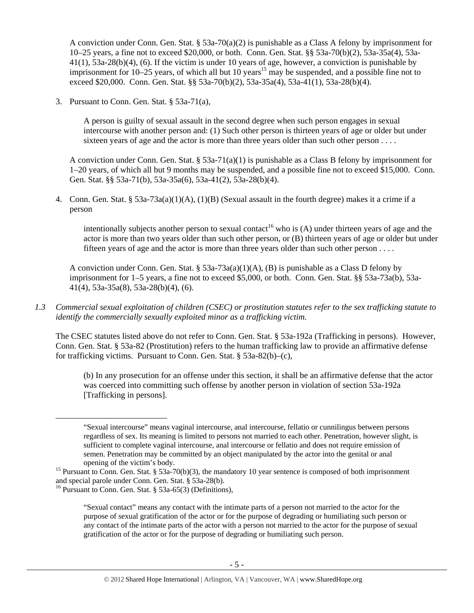A conviction under Conn. Gen. Stat. § 53a-70(a)(2) is punishable as a Class A felony by imprisonment for 10–25 years, a fine not to exceed \$20,000, or both. Conn. Gen. Stat. §§ 53a-70(b)(2), 53a-35a(4), 53a-41(1), 53a-28(b)(4), (6). If the victim is under 10 years of age, however, a conviction is punishable by imprisonment for 10–25 years, of which all but 10 years<sup>15</sup> may be suspended, and a possible fine not to exceed \$20,000. Conn. Gen. Stat. §§ 53a-70(b)(2), 53a-35a(4), 53a-41(1), 53a-28(b)(4).

3. Pursuant to Conn. Gen. Stat. § 53a-71(a),

A person is guilty of sexual assault in the second degree when such person engages in sexual intercourse with another person and: (1) Such other person is thirteen years of age or older but under sixteen years of age and the actor is more than three years older than such other person . . . .

A conviction under Conn. Gen. Stat.  $\S 53a-71(a)(1)$  is punishable as a Class B felony by imprisonment for 1–20 years, of which all but 9 months may be suspended, and a possible fine not to exceed \$15,000. Conn. Gen. Stat. §§ 53a-71(b), 53a-35a(6), 53a-41(2), 53a-28(b)(4).

4. Conn. Gen. Stat. § 53a-73a(a)(1)(A), (1)(B) (Sexual assault in the fourth degree) makes it a crime if a person

intentionally subjects another person to sexual contact<sup>16</sup> who is (A) under thirteen years of age and the actor is more than two years older than such other person, or (B) thirteen years of age or older but under fifteen years of age and the actor is more than three years older than such other person . . . .

A conviction under Conn. Gen. Stat. § 53a-73a(a)(1)(A), (B) is punishable as a Class D felony by imprisonment for 1–5 years, a fine not to exceed \$5,000, or both. Conn. Gen. Stat. §§ 53a-73a(b), 53a-41(4), 53a-35a(8), 53a-28(b)(4), (6).

*1.3 Commercial sexual exploitation of children (CSEC) or prostitution statutes refer to the sex trafficking statute to identify the commercially sexually exploited minor as a trafficking victim.* 

The CSEC statutes listed above do not refer to Conn. Gen. Stat. § 53a-192a (Trafficking in persons). However, Conn. Gen. Stat. § 53a-82 (Prostitution) refers to the human trafficking law to provide an affirmative defense for trafficking victims. Pursuant to Conn. Gen. Stat. § 53a-82(b)–(c),

(b) In any prosecution for an offense under this section, it shall be an affirmative defense that the actor was coerced into committing such offense by another person in violation of section 53a-192a [Trafficking in persons].

 <sup>&</sup>quot;Sexual intercourse" means vaginal intercourse, anal intercourse, fellatio or cunnilingus between persons regardless of sex. Its meaning is limited to persons not married to each other. Penetration, however slight, is sufficient to complete vaginal intercourse, anal intercourse or fellatio and does not require emission of semen. Penetration may be committed by an object manipulated by the actor into the genital or anal opening of the victim's body.<br><sup>15</sup> Pursuant to Conn. Gen. Stat. § 53a-70(b)(3), the mandatory 10 year sentence is composed of both imprisonment

and special parole under Conn. Gen. Stat. § 53a-28(b).

<sup>&</sup>lt;sup>16</sup> Pursuant to Conn. Gen. Stat. § 53a-65(3) (Definitions),

<sup>&</sup>quot;Sexual contact" means any contact with the intimate parts of a person not married to the actor for the purpose of sexual gratification of the actor or for the purpose of degrading or humiliating such person or any contact of the intimate parts of the actor with a person not married to the actor for the purpose of sexual gratification of the actor or for the purpose of degrading or humiliating such person.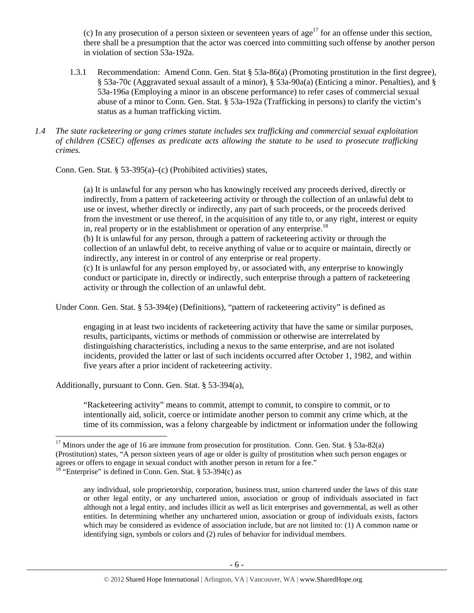(c) In any prosecution of a person sixteen or seventeen years of age<sup>17</sup> for an offense under this section, there shall be a presumption that the actor was coerced into committing such offense by another person in violation of section 53a-192a.

- 1.3.1 Recommendation: Amend Conn. Gen. Stat § 53a-86(a) (Promoting prostitution in the first degree), § 53a-70c (Aggravated sexual assault of a minor), § 53a-90a(a) (Enticing a minor. Penalties), and § 53a-196a (Employing a minor in an obscene performance) to refer cases of commercial sexual abuse of a minor to Conn. Gen. Stat. § 53a-192a (Trafficking in persons) to clarify the victim's status as a human trafficking victim.
- *1.4 The state racketeering or gang crimes statute includes sex trafficking and commercial sexual exploitation of children (CSEC) offenses as predicate acts allowing the statute to be used to prosecute trafficking crimes.*

Conn. Gen. Stat. § 53-395(a)–(c) (Prohibited activities) states,

(a) It is unlawful for any person who has knowingly received any proceeds derived, directly or indirectly, from a pattern of racketeering activity or through the collection of an unlawful debt to use or invest, whether directly or indirectly, any part of such proceeds, or the proceeds derived from the investment or use thereof, in the acquisition of any title to, or any right, interest or equity in, real property or in the establishment or operation of any enterprise.<sup>18</sup> (b) It is unlawful for any person, through a pattern of racketeering activity or through the collection of an unlawful debt, to receive anything of value or to acquire or maintain, directly or indirectly, any interest in or control of any enterprise or real property.

(c) It is unlawful for any person employed by, or associated with, any enterprise to knowingly conduct or participate in, directly or indirectly, such enterprise through a pattern of racketeering activity or through the collection of an unlawful debt.

Under Conn. Gen. Stat. § 53-394(e) (Definitions), "pattern of racketeering activity" is defined as

engaging in at least two incidents of racketeering activity that have the same or similar purposes, results, participants, victims or methods of commission or otherwise are interrelated by distinguishing characteristics, including a nexus to the same enterprise, and are not isolated incidents, provided the latter or last of such incidents occurred after October 1, 1982, and within five years after a prior incident of racketeering activity.

Additionally, pursuant to Conn. Gen. Stat. § 53-394(a),

"Racketeering activity" means to commit, attempt to commit, to conspire to commit, or to intentionally aid, solicit, coerce or intimidate another person to commit any crime which, at the time of its commission, was a felony chargeable by indictment or information under the following

<sup>&</sup>lt;sup>17</sup> Minors under the age of 16 are immune from prosecution for prostitution. Conn. Gen. Stat. § 53a-82(a) (Prostitution) states, "A person sixteen years of age or older is guilty of prostitution when such person engages or agrees or offers to engage in sexual conduct with another person in return for a fee."

 $18$  "Enterprise" is defined in Conn. Gen. Stat. § 53-394(c) as

any individual, sole proprietorship, corporation, business trust, union chartered under the laws of this state or other legal entity, or any unchartered union, association or group of individuals associated in fact although not a legal entity, and includes illicit as well as licit enterprises and governmental, as well as other entities. In determining whether any unchartered union, association or group of individuals exists, factors which may be considered as evidence of association include, but are not limited to: (1) A common name or identifying sign, symbols or colors and (2) rules of behavior for individual members.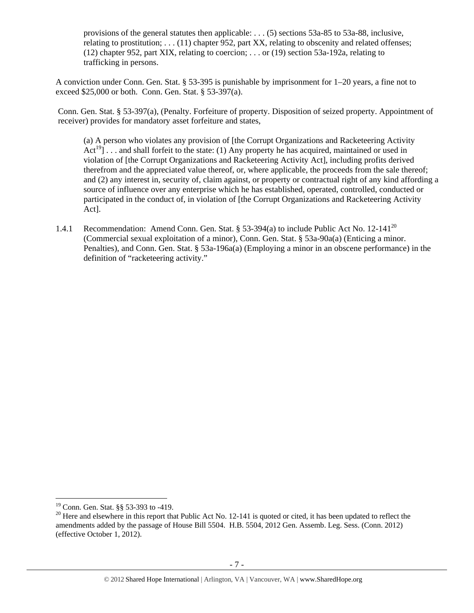provisions of the general statutes then applicable: . . . (5) sections 53a-85 to 53a-88, inclusive, relating to prostitution; . . . (11) chapter 952, part XX, relating to obscenity and related offenses; (12) chapter 952, part XIX, relating to coercion; . . . or (19) section 53a-192a, relating to trafficking in persons.

A conviction under Conn. Gen. Stat. § 53-395 is punishable by imprisonment for 1–20 years, a fine not to exceed \$25,000 or both. Conn. Gen. Stat. § 53-397(a).

Conn. Gen. Stat. § 53-397(a), (Penalty. Forfeiture of property. Disposition of seized property. Appointment of receiver) provides for mandatory asset forfeiture and states,

(a) A person who violates any provision of [the Corrupt Organizations and Racketeering Activity  $Act^{19}]$ ... and shall forfeit to the state: (1) Any property he has acquired, maintained or used in violation of [the Corrupt Organizations and Racketeering Activity Act], including profits derived therefrom and the appreciated value thereof, or, where applicable, the proceeds from the sale thereof; and (2) any interest in, security of, claim against, or property or contractual right of any kind affording a source of influence over any enterprise which he has established, operated, controlled, conducted or participated in the conduct of, in violation of [the Corrupt Organizations and Racketeering Activity Act].

1.4.1 Recommendation: Amend Conn. Gen. Stat. § 53-394(a) to include Public Act No. 12-141<sup>20</sup> (Commercial sexual exploitation of a minor), Conn. Gen. Stat. § 53a-90a(a) (Enticing a minor. Penalties), and Conn. Gen. Stat. § 53a-196a(a) (Employing a minor in an obscene performance) in the definition of "racketeering activity."

<sup>&</sup>lt;sup>19</sup> Conn. Gen. Stat. §§ 53-393 to -419.

 $20$  Here and elsewhere in this report that Public Act No. 12-141 is quoted or cited, it has been updated to reflect the amendments added by the passage of House Bill 5504. H.B. 5504, 2012 Gen. Assemb. Leg. Sess. (Conn. 2012) (effective October 1, 2012).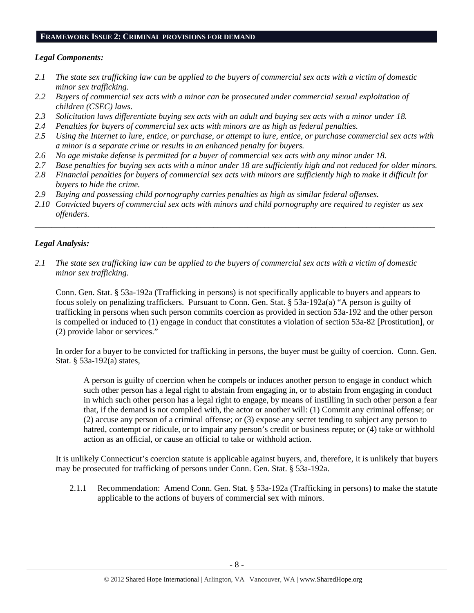#### **FRAMEWORK ISSUE 2: CRIMINAL PROVISIONS FOR DEMAND**

## *Legal Components:*

- *2.1 The state sex trafficking law can be applied to the buyers of commercial sex acts with a victim of domestic minor sex trafficking.*
- *2.2 Buyers of commercial sex acts with a minor can be prosecuted under commercial sexual exploitation of children (CSEC) laws.*
- *2.3 Solicitation laws differentiate buying sex acts with an adult and buying sex acts with a minor under 18.*
- *2.4 Penalties for buyers of commercial sex acts with minors are as high as federal penalties.*
- *2.5 Using the Internet to lure, entice, or purchase, or attempt to lure, entice, or purchase commercial sex acts with a minor is a separate crime or results in an enhanced penalty for buyers.*
- *2.6 No age mistake defense is permitted for a buyer of commercial sex acts with any minor under 18.*
- *2.7 Base penalties for buying sex acts with a minor under 18 are sufficiently high and not reduced for older minors.*
- *2.8 Financial penalties for buyers of commercial sex acts with minors are sufficiently high to make it difficult for buyers to hide the crime.*
- *2.9 Buying and possessing child pornography carries penalties as high as similar federal offenses.*
- *2.10 Convicted buyers of commercial sex acts with minors and child pornography are required to register as sex offenders.*

\_\_\_\_\_\_\_\_\_\_\_\_\_\_\_\_\_\_\_\_\_\_\_\_\_\_\_\_\_\_\_\_\_\_\_\_\_\_\_\_\_\_\_\_\_\_\_\_\_\_\_\_\_\_\_\_\_\_\_\_\_\_\_\_\_\_\_\_\_\_\_\_\_\_\_\_\_\_\_\_\_\_\_\_\_\_\_\_\_\_\_\_\_\_

## *Legal Analysis:*

*2.1 The state sex trafficking law can be applied to the buyers of commercial sex acts with a victim of domestic minor sex trafficking.* 

Conn. Gen. Stat. § 53a-192a (Trafficking in persons) is not specifically applicable to buyers and appears to focus solely on penalizing traffickers. Pursuant to Conn. Gen. Stat. § 53a-192a(a) "A person is guilty of trafficking in persons when such person commits coercion as provided in section 53a-192 and the other person is compelled or induced to (1) engage in conduct that constitutes a violation of section 53a-82 [Prostitution], or (2) provide labor or services."

In order for a buyer to be convicted for trafficking in persons, the buyer must be guilty of coercion. Conn. Gen. Stat. § 53a-192(a) states,

A person is guilty of coercion when he compels or induces another person to engage in conduct which such other person has a legal right to abstain from engaging in, or to abstain from engaging in conduct in which such other person has a legal right to engage, by means of instilling in such other person a fear that, if the demand is not complied with, the actor or another will: (1) Commit any criminal offense; or (2) accuse any person of a criminal offense; or (3) expose any secret tending to subject any person to hatred, contempt or ridicule, or to impair any person's credit or business repute; or (4) take or withhold action as an official, or cause an official to take or withhold action.

It is unlikely Connecticut's coercion statute is applicable against buyers, and, therefore, it is unlikely that buyers may be prosecuted for trafficking of persons under Conn. Gen. Stat. § 53a-192a.

2.1.1 Recommendation: Amend Conn. Gen. Stat. § 53a-192a (Trafficking in persons) to make the statute applicable to the actions of buyers of commercial sex with minors.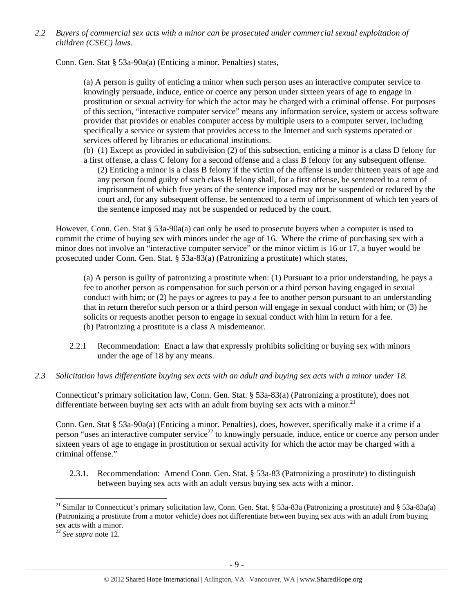*2.2 Buyers of commercial sex acts with a minor can be prosecuted under commercial sexual exploitation of children (CSEC) laws.* 

Conn. Gen. Stat § 53a-90a(a) (Enticing a minor. Penalties) states,

(a) A person is guilty of enticing a minor when such person uses an interactive computer service to knowingly persuade, induce, entice or coerce any person under sixteen years of age to engage in prostitution or sexual activity for which the actor may be charged with a criminal offense. For purposes of this section, "interactive computer service" means any information service, system or access software provider that provides or enables computer access by multiple users to a computer server, including specifically a service or system that provides access to the Internet and such systems operated or services offered by libraries or educational institutions.

(b) (1) Except as provided in subdivision (2) of this subsection, enticing a minor is a class D felony for a first offense, a class C felony for a second offense and a class B felony for any subsequent offense.

(2) Enticing a minor is a class B felony if the victim of the offense is under thirteen years of age and any person found guilty of such class B felony shall, for a first offense, be sentenced to a term of imprisonment of which five years of the sentence imposed may not be suspended or reduced by the court and, for any subsequent offense, be sentenced to a term of imprisonment of which ten years of the sentence imposed may not be suspended or reduced by the court.

However, Conn. Gen. Stat § 53a-90a(a) can only be used to prosecute buyers when a computer is used to commit the crime of buying sex with minors under the age of 16. Where the crime of purchasing sex with a minor does not involve an "interactive computer service" or the minor victim is 16 or 17, a buyer would be prosecuted under Conn. Gen. Stat. § 53a-83(a) (Patronizing a prostitute) which states,

(a) A person is guilty of patronizing a prostitute when: (1) Pursuant to a prior understanding, he pays a fee to another person as compensation for such person or a third person having engaged in sexual conduct with him; or (2) he pays or agrees to pay a fee to another person pursuant to an understanding that in return therefor such person or a third person will engage in sexual conduct with him; or (3) he solicits or requests another person to engage in sexual conduct with him in return for a fee. (b) Patronizing a prostitute is a class A misdemeanor.

- 2.2.1 Recommendation: Enact a law that expressly prohibits soliciting or buying sex with minors under the age of 18 by any means.
- *2.3 Solicitation laws differentiate buying sex acts with an adult and buying sex acts with a minor under 18.*

Connecticut's primary solicitation law, Conn. Gen. Stat. § 53a-83(a) (Patronizing a prostitute), does not differentiate between buying sex acts with an adult from buying sex acts with a minor.<sup>21</sup>

Conn. Gen. Stat § 53a-90a(a) (Enticing a minor. Penalties), does, however, specifically make it a crime if a person "uses an interactive computer service<sup>22</sup> to knowingly persuade, induce, entice or coerce any person under sixteen years of age to engage in prostitution or sexual activity for which the actor may be charged with a criminal offense."

2.3.1. Recommendation: Amend Conn. Gen. Stat. § 53a-83 (Patronizing a prostitute) to distinguish between buying sex acts with an adult versus buying sex acts with a minor.

<sup>&</sup>lt;sup>21</sup> Similar to Connecticut's primary solicitation law, Conn. Gen. Stat. § 53a-83a (Patronizing a prostitute) and § 53a-83a(a) (Patronizing a prostitute from a motor vehicle) does not differentiate between buying sex acts with an adult from buying sex acts with a minor.

<sup>22</sup> *See supra* note 12.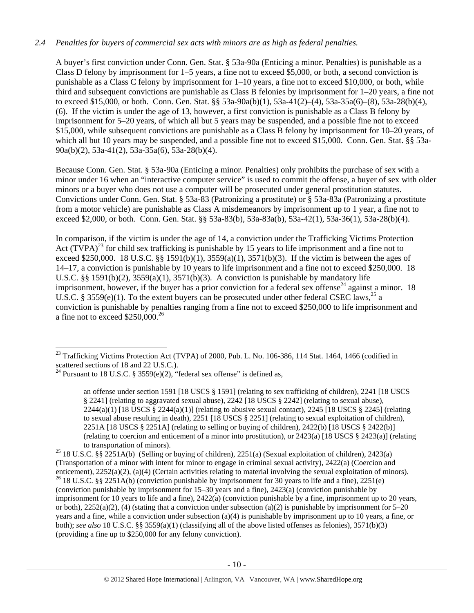## *2.4 Penalties for buyers of commercial sex acts with minors are as high as federal penalties.*

A buyer's first conviction under Conn. Gen. Stat. § 53a-90a (Enticing a minor. Penalties) is punishable as a Class D felony by imprisonment for 1–5 years, a fine not to exceed \$5,000, or both, a second conviction is punishable as a Class C felony by imprisonment for 1–10 years, a fine not to exceed \$10,000, or both, while third and subsequent convictions are punishable as Class B felonies by imprisonment for 1–20 years, a fine not to exceed \$15,000, or both. Conn. Gen. Stat. §§ 53a-90a(b)(1), 53a-41(2)–(4), 53a-35a(6)–(8), 53a-28(b)(4), (6). If the victim is under the age of 13, however, a first conviction is punishable as a Class B felony by imprisonment for 5–20 years, of which all but 5 years may be suspended, and a possible fine not to exceed \$15,000, while subsequent convictions are punishable as a Class B felony by imprisonment for 10–20 years, of which all but 10 years may be suspended, and a possible fine not to exceed \$15,000. Conn. Gen. Stat. §§ 53a-90a(b)(2), 53a-41(2), 53a-35a(6), 53a-28(b)(4).

Because Conn. Gen. Stat. § 53a-90a (Enticing a minor. Penalties) only prohibits the purchase of sex with a minor under 16 when an "interactive computer service" is used to commit the offense, a buyer of sex with older minors or a buyer who does not use a computer will be prosecuted under general prostitution statutes. Convictions under Conn. Gen. Stat. § 53a-83 (Patronizing a prostitute) or § 53a-83a (Patronizing a prostitute from a motor vehicle) are punishable as Class A misdemeanors by imprisonment up to 1 year, a fine not to exceed \$2,000, or both. Conn. Gen. Stat. §§ 53a-83(b), 53a-83a(b), 53a-42(1), 53a-36(1), 53a-28(b)(4).

In comparison, if the victim is under the age of 14, a conviction under the Trafficking Victims Protection Act  $(TVPA)^{23}$  for child sex trafficking is punishable by 15 years to life imprisonment and a fine not to exceed \$250,000. 18 U.S.C. §§ 1591(b)(1), 3559(a)(1), 3571(b)(3). If the victim is between the ages of 14–17, a conviction is punishable by 10 years to life imprisonment and a fine not to exceed \$250,000. 18 U.S.C. §§ 1591(b)(2),  $3559(a)(1)$ ,  $3571(b)(3)$ . A conviction is punishable by mandatory life imprisonment, however, if the buyer has a prior conviction for a federal sex offense<sup>24</sup> against a minor. 18 U.S.C. § 3559(e)(1). To the extent buyers can be prosecuted under other federal CSEC laws,<sup>25</sup> a conviction is punishable by penalties ranging from a fine not to exceed \$250,000 to life imprisonment and a fine not to exceed \$250,000.26

 $\overline{a}$ 

an offense under section 1591 [18 USCS § 1591] (relating to sex trafficking of children), 2241 [18 USCS § 2241] (relating to aggravated sexual abuse), 2242 [18 USCS § 2242] (relating to sexual abuse), 2244(a)(1) [18 USCS § 2244(a)(1)] (relating to abusive sexual contact), 2245 [18 USCS § 2245] (relating to sexual abuse resulting in death), 2251 [18 USCS § 2251] (relating to sexual exploitation of children), 2251A [18 USCS § 2251A] (relating to selling or buying of children), 2422(b) [18 USCS § 2422(b)] (relating to coercion and enticement of a minor into prostitution), or 2423(a) [18 USCS § 2423(a)] (relating

to transportation of minors).<br><sup>25</sup> 18 U.S.C. §§ 2251A(b) (Selling or buying of children), 2251(a) (Sexual exploitation of children), 2423(a) (Transportation of a minor with intent for minor to engage in criminal sexual activity), 2422(a) (Coercion and enticement), 2252(a)(2), (a)(4) (Certain activities relating to material involving the sexual exploitation of minors). <sup>26</sup> 18 U.S.C. §§ 2251A(b) (conviction punishable by imprisonment for 30 years to life and a fine), 22 (conviction punishable by imprisonment for 15–30 years and a fine), 2423(a) (conviction punishable by imprisonment for 10 years to life and a fine), 2422(a) (conviction punishable by a fine, imprisonment up to 20 years, or both),  $2252(a)(2)$ , (4) (stating that a conviction under subsection (a)(2) is punishable by imprisonment for 5–20 years and a fine, while a conviction under subsection (a)(4) is punishable by imprisonment up to 10 years, a fine, or both); *see also* 18 U.S.C. §§ 3559(a)(1) (classifying all of the above listed offenses as felonies), 3571(b)(3) (providing a fine up to \$250,000 for any felony conviction).

 $^{23}$  Trafficking Victims Protection Act (TVPA) of 2000, Pub. L. No. 106-386, 114 Stat. 1464, 1466 (codified in scattered sections of 18 and 22 U.S.C.).

<sup>&</sup>lt;sup>24</sup> Pursuant to 18 U.S.C. § 3559 $(e)(2)$ , "federal sex offense" is defined as,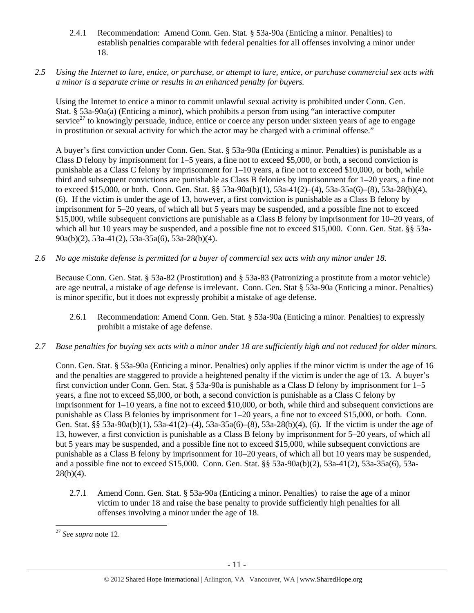- 2.4.1 Recommendation: Amend Conn. Gen. Stat. § 53a-90a (Enticing a minor. Penalties) to establish penalties comparable with federal penalties for all offenses involving a minor under 18.
- *2.5 Using the Internet to lure, entice, or purchase, or attempt to lure, entice, or purchase commercial sex acts with a minor is a separate crime or results in an enhanced penalty for buyers.*

Using the Internet to entice a minor to commit unlawful sexual activity is prohibited under Conn. Gen. Stat. § 53a-90a(a) (Enticing a minor), which prohibits a person from using "an interactive computer service<sup>27</sup> to knowingly persuade, induce, entice or coerce any person under sixteen years of age to engage in prostitution or sexual activity for which the actor may be charged with a criminal offense."

A buyer's first conviction under Conn. Gen. Stat. § 53a-90a (Enticing a minor. Penalties) is punishable as a Class D felony by imprisonment for 1–5 years, a fine not to exceed \$5,000, or both, a second conviction is punishable as a Class C felony by imprisonment for 1–10 years, a fine not to exceed \$10,000, or both, while third and subsequent convictions are punishable as Class B felonies by imprisonment for 1–20 years, a fine not to exceed \$15,000, or both. Conn. Gen. Stat. §§ 53a-90a(b)(1), 53a-41(2)–(4), 53a-35a(6)–(8), 53a-28(b)(4), (6). If the victim is under the age of 13, however, a first conviction is punishable as a Class B felony by imprisonment for 5–20 years, of which all but 5 years may be suspended, and a possible fine not to exceed \$15,000, while subsequent convictions are punishable as a Class B felony by imprisonment for 10–20 years, of which all but 10 years may be suspended, and a possible fine not to exceed \$15,000. Conn. Gen. Stat. §§ 53a-90a(b)(2), 53a-41(2), 53a-35a(6), 53a-28(b)(4).

*2.6 No age mistake defense is permitted for a buyer of commercial sex acts with any minor under 18.* 

Because Conn. Gen. Stat. § 53a-82 (Prostitution) and § 53a-83 (Patronizing a prostitute from a motor vehicle) are age neutral, a mistake of age defense is irrelevant. Conn. Gen. Stat § 53a-90a (Enticing a minor. Penalties) is minor specific, but it does not expressly prohibit a mistake of age defense.

- 2.6.1 Recommendation: Amend Conn. Gen. Stat. § 53a-90a (Enticing a minor. Penalties) to expressly prohibit a mistake of age defense.
- *2.7 Base penalties for buying sex acts with a minor under 18 are sufficiently high and not reduced for older minors.*

Conn. Gen. Stat. § 53a-90a (Enticing a minor. Penalties) only applies if the minor victim is under the age of 16 and the penalties are staggered to provide a heightened penalty if the victim is under the age of 13. A buyer's first conviction under Conn. Gen. Stat. § 53a-90a is punishable as a Class D felony by imprisonment for 1–5 years, a fine not to exceed \$5,000, or both, a second conviction is punishable as a Class C felony by imprisonment for 1–10 years, a fine not to exceed \$10,000, or both, while third and subsequent convictions are punishable as Class B felonies by imprisonment for 1–20 years, a fine not to exceed \$15,000, or both. Conn. Gen. Stat. §§ 53a-90a(b)(1), 53a-41(2)–(4), 53a-35a(6)–(8), 53a-28(b)(4), (6). If the victim is under the age of 13, however, a first conviction is punishable as a Class B felony by imprisonment for 5–20 years, of which all but 5 years may be suspended, and a possible fine not to exceed \$15,000, while subsequent convictions are punishable as a Class B felony by imprisonment for 10–20 years, of which all but 10 years may be suspended, and a possible fine not to exceed \$15,000. Conn. Gen. Stat. §§ 53a-90a(b)(2), 53a-41(2), 53a-35a(6), 53a- $28(b)(4)$ .

2.7.1 Amend Conn. Gen. Stat. § 53a-90a (Enticing a minor. Penalties) to raise the age of a minor victim to under 18 and raise the base penalty to provide sufficiently high penalties for all offenses involving a minor under the age of 18.

 $\overline{a}$ <sup>27</sup> *See supra* note 12.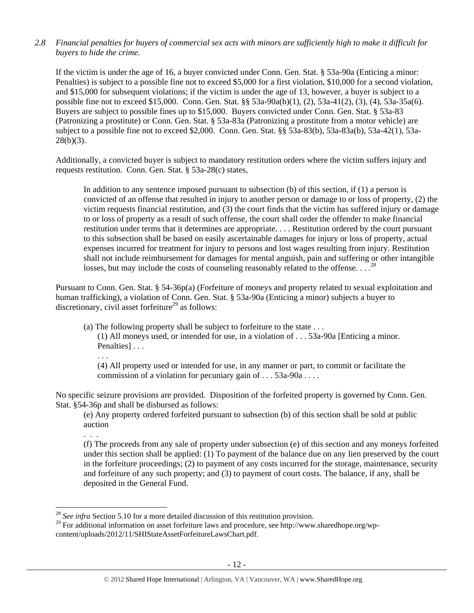*2.8 Financial penalties for buyers of commercial sex acts with minors are sufficiently high to make it difficult for buyers to hide the crime.* 

If the victim is under the age of 16, a buyer convicted under Conn. Gen. Stat. § 53a-90a (Enticing a minor: Penalties) is subject to a possible fine not to exceed \$5,000 for a first violation, \$10,000 for a second violation, and \$15,000 for subsequent violations; if the victim is under the age of 13, however, a buyer is subject to a possible fine not to exceed \$15,000. Conn. Gen. Stat. §§ 53a-90a(b)(1), (2), 53a-41(2), (3), (4), 53a-35a(6). Buyers are subject to possible fines up to \$15,000. Buyers convicted under Conn. Gen. Stat. § 53a-83 (Patronizing a prostitute) or Conn. Gen. Stat. § 53a-83a (Patronizing a prostitute from a motor vehicle) are subject to a possible fine not to exceed \$2,000. Conn. Gen. Stat. §§ 53a-83(b), 53a-83a(b), 53a-42(1), 53a- $28(b)(3)$ .

Additionally, a convicted buyer is subject to mandatory restitution orders where the victim suffers injury and requests restitution. Conn. Gen. Stat. § 53a-28(c) states,

In addition to any sentence imposed pursuant to subsection (b) of this section, if (1) a person is convicted of an offense that resulted in injury to another person or damage to or loss of property, (2) the victim requests financial restitution, and (3) the court finds that the victim has suffered injury or damage to or loss of property as a result of such offense, the court shall order the offender to make financial restitution under terms that it determines are appropriate. . . . Restitution ordered by the court pursuant to this subsection shall be based on easily ascertainable damages for injury or loss of property, actual expenses incurred for treatment for injury to persons and lost wages resulting from injury. Restitution shall not include reimbursement for damages for mental anguish, pain and suffering or other intangible losses, but may include the costs of counseling reasonably related to the offense...<sup>28</sup>

Pursuant to Conn. Gen. Stat. § 54-36p(a) (Forfeiture of moneys and property related to sexual exploitation and human trafficking), a violation of Conn. Gen. Stat. § 53a-90a (Enticing a minor) subjects a buyer to discretionary, civil asset forfeiture<sup>29</sup> as follows:

(a) The following property shall be subject to forfeiture to the state . . .

(1) All moneys used, or intended for use, in a violation of . . . 53a-90a [Enticing a minor. Penalties]...

. . .

(4) All property used or intended for use, in any manner or part, to commit or facilitate the commission of a violation for pecuniary gain of . . . 53a-90a . . . .

No specific seizure provisions are provided. Disposition of the forfeited property is governed by Conn. Gen. Stat. §54-36p and shall be disbursed as follows:

(e) Any property ordered forfeited pursuant to subsection (b) of this section shall be sold at public auction

. . .

 $\overline{a}$ 

(f) The proceeds from any sale of property under subsection (e) of this section and any moneys forfeited under this section shall be applied: (1) To payment of the balance due on any lien preserved by the court in the forfeiture proceedings; (2) to payment of any costs incurred for the storage, maintenance, security and forfeiture of any such property; and (3) to payment of court costs. The balance, if any, shall be deposited in the General Fund.

<sup>28</sup> *See infra* Section 5.10 for a more detailed discussion of this restitution provision.

<sup>&</sup>lt;sup>29</sup> For additional information on asset forfeiture laws and procedure, see http://www.sharedhope.org/wp-

content/uploads/2012/11/SHIStateAssetForfeitureLawsChart.pdf.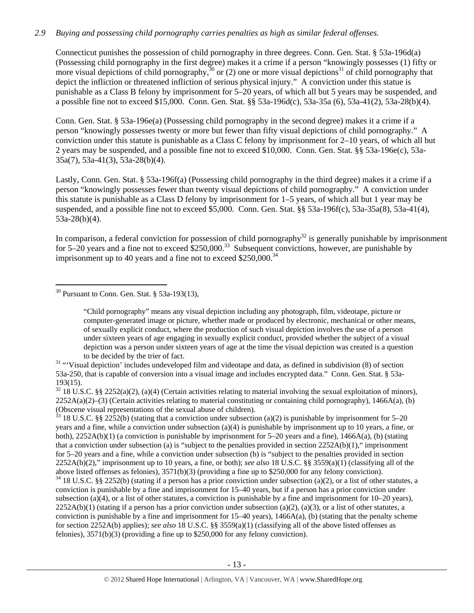## *2.9 Buying and possessing child pornography carries penalties as high as similar federal offenses.*

Connecticut punishes the possession of child pornography in three degrees. Conn. Gen. Stat. § 53a-196d(a) (Possessing child pornography in the first degree) makes it a crime if a person "knowingly possesses (1) fifty or more visual depictions of child pornography,  $30$  or (2) one or more visual depictions<sup>31</sup> of child pornography that depict the infliction or threatened infliction of serious physical injury." A conviction under this statue is punishable as a Class B felony by imprisonment for 5–20 years, of which all but 5 years may be suspended, and a possible fine not to exceed \$15,000. Conn. Gen. Stat. §§ 53a-196d(c), 53a-35a (6), 53a-41(2), 53a-28(b)(4).

Conn. Gen. Stat. § 53a-196e(a) (Possessing child pornography in the second degree) makes it a crime if a person "knowingly possesses twenty or more but fewer than fifty visual depictions of child pornography." A conviction under this statute is punishable as a Class C felony by imprisonment for 2–10 years, of which all but 2 years may be suspended, and a possible fine not to exceed \$10,000. Conn. Gen. Stat. §§ 53a-196e(c), 53a-35a(7), 53a-41(3), 53a-28(b)(4).

Lastly, Conn. Gen. Stat. § 53a-196f(a) (Possessing child pornography in the third degree) makes it a crime if a person "knowingly possesses fewer than twenty visual depictions of child pornography." A conviction under this statute is punishable as a Class D felony by imprisonment for 1–5 years, of which all but 1 year may be suspended, and a possible fine not to exceed \$5,000. Conn. Gen. Stat. §§ 53a-196f(c), 53a-35a(8), 53a-41(4), 53a-28(b)(4).

In comparison, a federal conviction for possession of child pornography $32$  is generally punishable by imprisonment for 5–20 years and a fine not to exceed  $$250,000.<sup>33</sup>$  Subsequent convictions, however, are punishable by imprisonment up to 40 years and a fine not to exceed  $$250,000.<sup>34</sup>$ 

 $33$  18 U.S.C. §§ 2252(b) (stating that a conviction under subsection (a)(2) is punishable by imprisonment for 5–20 years and a fine, while a conviction under subsection (a)(4) is punishable by imprisonment up to 10 years, a fine, or both), 2252A(b)(1) (a conviction is punishable by imprisonment for 5–20 years and a fine), 1466A(a), (b) (stating that a conviction under subsection (a) is "subject to the penalties provided in section  $2252A(b)(1)$ ," imprisonment for 5–20 years and a fine, while a conviction under subsection (b) is "subject to the penalties provided in section 2252A(b)(2)," imprisonment up to 10 years, a fine, or both); *see also* 18 U.S.C. §§ 3559(a)(1) (classifying all of the above listed offenses as felonies), 3571(b)(3) (providing a fine up to \$250,000 for any felony conviction).

 $34$  18 U.S.C. §§ 2252(b) (stating if a person has a prior conviction under subsection (a)(2), or a list of other statutes, a conviction is punishable by a fine and imprisonment for 15–40 years, but if a person has a prior conviction under subsection (a)(4), or a list of other statutes, a conviction is punishable by a fine and imprisonment for  $10-20$  years),  $2252A(b)(1)$  (stating if a person has a prior conviction under subsection (a)(2), (a)(3), or a list of other statutes, a conviction is punishable by a fine and imprisonment for  $15-40$  years),  $1466A(a)$ , (b) (stating that the penalty scheme for section 2252A(b) applies); *see also* 18 U.S.C. §§ 3559(a)(1) (classifying all of the above listed offenses as felonies), 3571(b)(3) (providing a fine up to \$250,000 for any felony conviction).

 $\overline{a}$  $30$  Pursuant to Conn. Gen. Stat. § 53a-193(13),

<sup>&</sup>quot;Child pornography" means any visual depiction including any photograph, film, videotape, picture or computer-generated image or picture, whether made or produced by electronic, mechanical or other means, of sexually explicit conduct, where the production of such visual depiction involves the use of a person under sixteen years of age engaging in sexually explicit conduct, provided whether the subject of a visual depiction was a person under sixteen years of age at the time the visual depiction was created is a question

to be decided by the trier of fact.<br><sup>31</sup> "Visual depiction' includes undeveloped film and videotape and data, as defined in subdivision (8) of section 53a-250, that is capable of conversion into a visual image and includes encrypted data." Conn. Gen. Stat. § 53a-193(15).

 $32\,18$  U.S.C. §§ 2252(a)(2), (a)(4) (Certain activities relating to material involving the sexual exploitation of minors),  $2252A(a)(2)$ –(3) (Certain activities relating to material constituting or containing child pornography), 1466A(a), (b) (Obscene visual representations of the sexual abuse of children).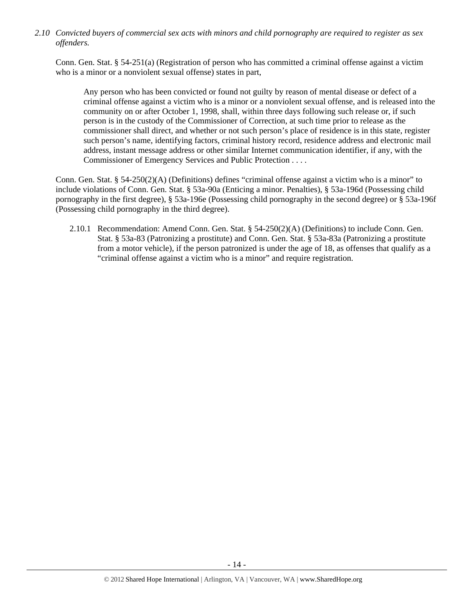*2.10 Convicted buyers of commercial sex acts with minors and child pornography are required to register as sex offenders.* 

Conn. Gen. Stat. § 54-251(a) (Registration of person who has committed a criminal offense against a victim who is a minor or a nonviolent sexual offense) states in part,

Any person who has been convicted or found not guilty by reason of mental disease or defect of a criminal offense against a victim who is a minor or a nonviolent sexual offense, and is released into the community on or after October 1, 1998, shall, within three days following such release or, if such person is in the custody of the Commissioner of Correction, at such time prior to release as the commissioner shall direct, and whether or not such person's place of residence is in this state, register such person's name, identifying factors, criminal history record, residence address and electronic mail address, instant message address or other similar Internet communication identifier, if any, with the Commissioner of Emergency Services and Public Protection . . . .

Conn. Gen. Stat. § 54-250(2)(A) (Definitions) defines "criminal offense against a victim who is a minor" to include violations of Conn. Gen. Stat. § 53a-90a (Enticing a minor. Penalties), § 53a-196d (Possessing child pornography in the first degree), § 53a-196e (Possessing child pornography in the second degree) or § 53a-196f (Possessing child pornography in the third degree).

2.10.1 Recommendation: Amend Conn. Gen. Stat. § 54-250(2)(A) (Definitions) to include Conn. Gen. Stat. § 53a-83 (Patronizing a prostitute) and Conn. Gen. Stat. § 53a-83a (Patronizing a prostitute from a motor vehicle), if the person patronized is under the age of 18, as offenses that qualify as a "criminal offense against a victim who is a minor" and require registration.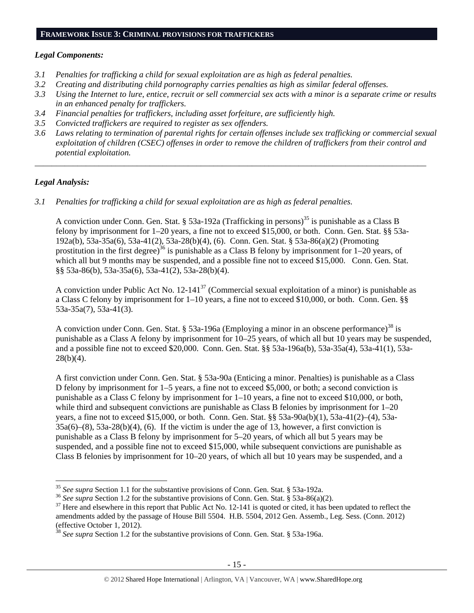## **FRAMEWORK ISSUE 3: CRIMINAL PROVISIONS FOR TRAFFICKERS**

#### *Legal Components:*

- *3.1 Penalties for trafficking a child for sexual exploitation are as high as federal penalties.*
- *3.2 Creating and distributing child pornography carries penalties as high as similar federal offenses.*
- *3.3 Using the Internet to lure, entice, recruit or sell commercial sex acts with a minor is a separate crime or results in an enhanced penalty for traffickers.*
- *3.4 Financial penalties for traffickers, including asset forfeiture, are sufficiently high.*
- *3.5 Convicted traffickers are required to register as sex offenders.*
- *3.6 Laws relating to termination of parental rights for certain offenses include sex trafficking or commercial sexual exploitation of children (CSEC) offenses in order to remove the children of traffickers from their control and potential exploitation.*

*\_\_\_\_\_\_\_\_\_\_\_\_\_\_\_\_\_\_\_\_\_\_\_\_\_\_\_\_\_\_\_\_\_\_\_\_\_\_\_\_\_\_\_\_\_\_\_\_\_\_\_\_\_\_\_\_\_\_\_\_\_\_\_\_\_\_\_\_\_\_\_\_\_\_\_\_\_\_\_\_\_\_\_\_\_\_\_\_\_\_\_\_*

#### *Legal Analysis:*

 $\overline{a}$ 

*3.1 Penalties for trafficking a child for sexual exploitation are as high as federal penalties.* 

A conviction under Conn. Gen. Stat. § 53a-192a (Trafficking in persons)<sup>35</sup> is punishable as a Class B felony by imprisonment for 1–20 years, a fine not to exceed \$15,000, or both. Conn. Gen. Stat. §§ 53a-192a(b), 53a-35a(6), 53a-41(2), 53a-28(b)(4), (6). Conn. Gen. Stat. § 53a-86(a)(2) (Promoting prostitution in the first degree)<sup>36</sup> is punishable as a Class B felony by imprisonment for  $1-20$  years, of which all but 9 months may be suspended, and a possible fine not to exceed \$15,000. Conn. Gen. Stat. §§ 53a-86(b), 53a-35a(6), 53a-41(2), 53a-28(b)(4).

A conviction under Public Act No. 12-14137 (Commercial sexual exploitation of a minor) is punishable as a Class C felony by imprisonment for 1–10 years, a fine not to exceed \$10,000, or both. Conn. Gen. §§ 53a-35a(7), 53a-41(3).

A conviction under Conn. Gen. Stat. § 53a-196a (Employing a minor in an obscene performance)<sup>38</sup> is punishable as a Class A felony by imprisonment for 10–25 years, of which all but 10 years may be suspended, and a possible fine not to exceed \$20,000. Conn. Gen. Stat. §§ 53a-196a(b), 53a-35a(4), 53a-41(1), 53a- $28(b)(4)$ .

A first conviction under Conn. Gen. Stat. § 53a-90a (Enticing a minor. Penalties) is punishable as a Class D felony by imprisonment for 1–5 years, a fine not to exceed \$5,000, or both; a second conviction is punishable as a Class C felony by imprisonment for 1–10 years, a fine not to exceed \$10,000, or both, while third and subsequent convictions are punishable as Class B felonies by imprisonment for  $1-20$ years, a fine not to exceed \$15,000, or both. Conn. Gen. Stat. §§ 53a-90a(b)(1), 53a-41(2)–(4), 53a- $35a(6)$ – $(8)$ ,  $53a-28(b)(4)$ ,  $(6)$ . If the victim is under the age of 13, however, a first conviction is punishable as a Class B felony by imprisonment for 5–20 years, of which all but 5 years may be suspended, and a possible fine not to exceed \$15,000, while subsequent convictions are punishable as Class B felonies by imprisonment for 10–20 years, of which all but 10 years may be suspended, and a

<sup>&</sup>lt;sup>35</sup> See supra Section 1.1 for the substantive provisions of Conn. Gen. Stat. § 53a-192a.<br><sup>36</sup> See supra Section 1.2 for the substantive provisions of Conn. Gen. Stat. § 53a-86(a)(2).<br><sup>37</sup> Here and elsewhere in this repor amendments added by the passage of House Bill 5504. H.B. 5504, 2012 Gen. Assemb., Leg. Sess. (Conn. 2012) (effective October 1, 2012).

<sup>38</sup> *See supra* Section 1.2 for the substantive provisions of Conn. Gen. Stat. § 53a-196a.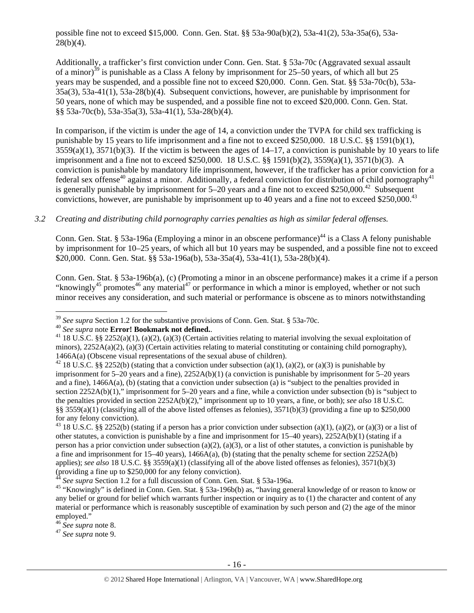possible fine not to exceed \$15,000. Conn. Gen. Stat. §§ 53a-90a(b)(2), 53a-41(2), 53a-35a(6), 53a- $28(b)(4)$ .

Additionally, a trafficker's first conviction under Conn. Gen. Stat. § 53a-70c (Aggravated sexual assault of a minor)<sup>39</sup> is punishable as a Class A felony by imprisonment for 25–50 years, of which all but 25 years may be suspended, and a possible fine not to exceed \$20,000. Conn. Gen. Stat. §§ 53a-70c(b), 53a-35a(3), 53a-41(1), 53a-28(b)(4). Subsequent convictions, however, are punishable by imprisonment for 50 years, none of which may be suspended, and a possible fine not to exceed \$20,000. Conn. Gen. Stat. §§ 53a-70c(b), 53a-35a(3), 53a-41(1), 53a-28(b)(4).

In comparison, if the victim is under the age of 14, a conviction under the TVPA for child sex trafficking is punishable by 15 years to life imprisonment and a fine not to exceed \$250,000. 18 U.S.C. §§ 1591(b)(1),  $3559(a)(1)$ ,  $3571(b)(3)$ . If the victim is between the ages of  $14-17$ , a conviction is punishable by 10 years to life imprisonment and a fine not to exceed \$250,000. 18 U.S.C. §§ 1591(b)(2), 3559(a)(1), 3571(b)(3). A conviction is punishable by mandatory life imprisonment, however, if the trafficker has a prior conviction for a federal sex offense<sup>40</sup> against a minor. Additionally, a federal conviction for distribution of child pornography<sup>41</sup> is generally punishable by imprisonment for  $5-20$  years and a fine not to exceed \$250,000.<sup>42</sup> Subsequent convictions, however, are punishable by imprisonment up to 40 years and a fine not to exceed \$250,000.<sup>43</sup>

#### *3.2 Creating and distributing child pornography carries penalties as high as similar federal offenses.*

Conn. Gen. Stat. § 53a-196a (Employing a minor in an obscene performance)<sup>44</sup> is a Class A felony punishable by imprisonment for 10–25 years, of which all but 10 years may be suspended, and a possible fine not to exceed \$20,000. Conn. Gen. Stat. §§ 53a-196a(b), 53a-35a(4), 53a-41(1), 53a-28(b)(4).

Conn. Gen. Stat. § 53a-196b(a), (c) (Promoting a minor in an obscene performance) makes it a crime if a person "knowingly<sup>45</sup> promotes<sup>46</sup> any material<sup>47</sup> or performance in which a minor is employed, whether or not such minor receives any consideration, and such material or performance is obscene as to minors notwithstanding

 $39$  See supra Section 1.2 for the substantive provisions of Conn. Gen. Stat. § 53a-70c.

<sup>&</sup>lt;sup>40</sup> See supra note **Error! Bookmark not defined.**<br><sup>41</sup> 18 U.S.C. §§ 2252(a)(1), (a)(2), (a)(3) (Certain activities relating to material involving the sexual exploitation of minors),  $2252A(a)(2)$ , (a)(3) (Certain activities relating to material constituting or containing child pornography), 1466A(a) (Obscene visual representations of the sexual abuse of children).<br><sup>42</sup> 18 U.S.C. §§ 2252(b) (stating that a conviction under subsection (a)(1), (a)(2), or (a)(3) is punishable by

imprisonment for 5–20 years and a fine), 2252A(b)(1) (a conviction is punishable by imprisonment for 5–20 years and a fine), 1466A(a), (b) (stating that a conviction under subsection (a) is "subject to the penalties provided in section 2252A(b)(1)," imprisonment for 5–20 years and a fine, while a conviction under subsection (b) is "subject to the penalties provided in section 2252A(b)(2)," imprisonment up to 10 years, a fine, or both); *see also* 18 U.S.C. §§  $3559(a)(1)$  (classifying all of the above listed offenses as felonies),  $3571(b)(3)$  (providing a fine up to \$250,000 for any felony conviction).

<sup>&</sup>lt;sup>43</sup> 18 U.S.C. §§ 2252(b) (stating if a person has a prior conviction under subsection (a)(1), (a)(2), or (a)(3) or a list of other statutes, a conviction is punishable by a fine and imprisonment for  $15-40$  years),  $2252A(b)(1)$  (stating if a person has a prior conviction under subsection (a)(2), (a)(3), or a list of other statutes, a conviction is punishable by a fine and imprisonment for 15–40 years),  $1466A(a)$ , (b) (stating that the penalty scheme for section 2252A(b) applies); *see also* 18 U.S.C. §§ 3559(a)(1) (classifying all of the above listed offenses as felonies), 3571(b)(3) (providing a fine up to \$250,000 for any felony conviction).<br><sup>44</sup> See supra Section 1.2 for a full discussion of Conn. Gen. Stat. § 53a-196a.

<sup>&</sup>lt;sup>45</sup> "Knowingly" is defined in Conn. Gen. Stat. § 53a-196b(b) as, "having general knowledge of or reason to know or any belief or ground for belief which warrants further inspection or inquiry as to (1) the character and content of any material or performance which is reasonably susceptible of examination by such person and (2) the age of the minor employed."<br><sup>46</sup> See supra note 8.

<sup>46</sup> *See supra* note 8. 47 *See supra* note 9.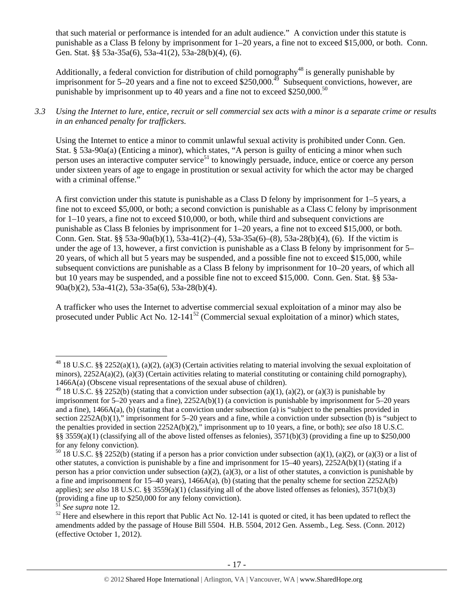that such material or performance is intended for an adult audience." A conviction under this statute is punishable as a Class B felony by imprisonment for 1–20 years, a fine not to exceed \$15,000, or both. Conn. Gen. Stat. §§ 53a-35a(6), 53a-41(2), 53a-28(b)(4), (6).

Additionally, a federal conviction for distribution of child pornography<sup>48</sup> is generally punishable by imprisonment for 5–20 years and a fine not to exceed \$250,000.<sup>49</sup> Subsequent convictions, however, are punishable by imprisonment up to 40 years and a fine not to exceed \$250,000.<sup>50</sup>

*3.3 Using the Internet to lure, entice, recruit or sell commercial sex acts with a minor is a separate crime or results in an enhanced penalty for traffickers.* 

Using the Internet to entice a minor to commit unlawful sexual activity is prohibited under Conn. Gen. Stat. § 53a-90a(a) (Enticing a minor), which states, "A person is guilty of enticing a minor when such person uses an interactive computer service<sup>51</sup> to knowingly persuade, induce, entice or coerce any person under sixteen years of age to engage in prostitution or sexual activity for which the actor may be charged with a criminal offense."

A first conviction under this statute is punishable as a Class D felony by imprisonment for 1–5 years, a fine not to exceed \$5,000, or both; a second conviction is punishable as a Class C felony by imprisonment for 1–10 years, a fine not to exceed \$10,000, or both, while third and subsequent convictions are punishable as Class B felonies by imprisonment for 1–20 years, a fine not to exceed \$15,000, or both. Conn. Gen. Stat. §§ 53a-90a(b)(1), 53a-41(2)–(4), 53a-35a(6)–(8), 53a-28(b)(4), (6). If the victim is under the age of 13, however, a first conviction is punishable as a Class B felony by imprisonment for 5– 20 years, of which all but 5 years may be suspended, and a possible fine not to exceed \$15,000, while subsequent convictions are punishable as a Class B felony by imprisonment for 10–20 years, of which all but 10 years may be suspended, and a possible fine not to exceed \$15,000. Conn. Gen. Stat. §§ 53a-90a(b)(2), 53a-41(2), 53a-35a(6), 53a-28(b)(4).

A trafficker who uses the Internet to advertise commercial sexual exploitation of a minor may also be prosecuted under Public Act No.  $12-141^{52}$  (Commercial sexual exploitation of a minor) which states,

<sup>&</sup>lt;sup>48</sup> 18 U.S.C. §§ 2252(a)(1), (a)(2), (a)(3) (Certain activities relating to material involving the sexual exploitation of minors),  $2252A(a)(2)$ ,  $(a)(3)$  (Certain activities relating to material constituting or containing child pornography), 1466A(a) (Obscene visual representations of the sexual abuse of children).

<sup>&</sup>lt;sup>49</sup> 18 U.S.C. §§ 2252(b) (stating that a conviction under subsection (a)(1), (a)(2), or (a)(3) is punishable by imprisonment for 5–20 years and a fine), 2252A(b)(1) (a conviction is punishable by imprisonment for 5–20 years and a fine), 1466A(a), (b) (stating that a conviction under subsection (a) is "subject to the penalties provided in section 2252A(b)(1)," imprisonment for 5–20 years and a fine, while a conviction under subsection (b) is "subject to the penalties provided in section 2252A(b)(2)," imprisonment up to 10 years, a fine, or both); *see also* 18 U.S.C. §§  $3559(a)(1)$  (classifying all of the above listed offenses as felonies),  $3571(b)(3)$  (providing a fine up to \$250,000 for any felony conviction).

<sup>&</sup>lt;sup>50</sup> 18 U.S.C. §§ 2252(b) (stating if a person has a prior conviction under subsection (a)(1), (a)(2), or (a)(3) or a list of other statutes, a conviction is punishable by a fine and imprisonment for 15–40 years), 2252A(b)(1) (stating if a person has a prior conviction under subsection (a)(2), (a)(3), or a list of other statutes, a conviction is punishable by a fine and imprisonment for 15–40 years), 1466A(a), (b) (stating that the penalty scheme for section 2252A(b) applies); *see also* 18 U.S.C. §§ 3559(a)(1) (classifying all of the above listed offenses as felonies), 3571(b)(3) (providing a fine up to  $$250,000$  for any felony conviction).

<sup>&</sup>lt;sup>51</sup> See supra note 12.<br><sup>52</sup> Here and elsewhere in this report that Public Act No. 12-141 is quoted or cited, it has been updated to reflect the amendments added by the passage of House Bill 5504. H.B. 5504, 2012 Gen. Assemb., Leg. Sess. (Conn. 2012) (effective October 1, 2012).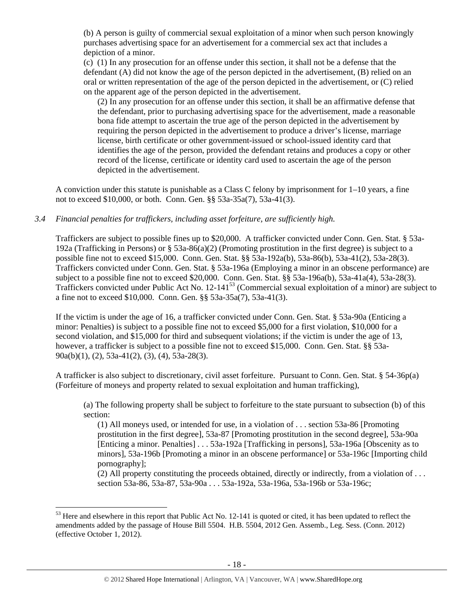(b) A person is guilty of commercial sexual exploitation of a minor when such person knowingly purchases advertising space for an advertisement for a commercial sex act that includes a depiction of a minor.

(c) (1) In any prosecution for an offense under this section, it shall not be a defense that the defendant (A) did not know the age of the person depicted in the advertisement, (B) relied on an oral or written representation of the age of the person depicted in the advertisement, or (C) relied on the apparent age of the person depicted in the advertisement.

(2) In any prosecution for an offense under this section, it shall be an affirmative defense that the defendant, prior to purchasing advertising space for the advertisement, made a reasonable bona fide attempt to ascertain the true age of the person depicted in the advertisement by requiring the person depicted in the advertisement to produce a driver's license, marriage license, birth certificate or other government-issued or school-issued identity card that identifies the age of the person, provided the defendant retains and produces a copy or other record of the license, certificate or identity card used to ascertain the age of the person depicted in the advertisement.

A conviction under this statute is punishable as a Class C felony by imprisonment for 1–10 years, a fine not to exceed \$10,000, or both. Conn. Gen. §§ 53a-35a(7), 53a-41(3).

#### *3.4 Financial penalties for traffickers, including asset forfeiture, are sufficiently high.*

Traffickers are subject to possible fines up to \$20,000. A trafficker convicted under Conn. Gen. Stat. § 53a-192a (Trafficking in Persons) or § 53a-86(a)(2) (Promoting prostitution in the first degree) is subject to a possible fine not to exceed \$15,000. Conn. Gen. Stat. §§ 53a-192a(b), 53a-86(b), 53a-41(2), 53a-28(3). Traffickers convicted under Conn. Gen. Stat. § 53a-196a (Employing a minor in an obscene performance) are subject to a possible fine not to exceed \$20,000. Conn. Gen. Stat. §§ 53a-196a(b), 53a-41a(4), 53a-28(3). Traffickers convicted under Public Act No. 12-14153 (Commercial sexual exploitation of a minor) are subject to a fine not to exceed \$10,000. Conn. Gen. §§ 53a-35a(7), 53a-41(3).

If the victim is under the age of 16, a trafficker convicted under Conn. Gen. Stat. § 53a-90a (Enticing a minor: Penalties) is subject to a possible fine not to exceed \$5,000 for a first violation, \$10,000 for a second violation, and \$15,000 for third and subsequent violations; if the victim is under the age of 13, however, a trafficker is subject to a possible fine not to exceed \$15,000. Conn. Gen. Stat. §§ 53a-90a(b)(1), (2), 53a-41(2), (3), (4), 53a-28(3).

A trafficker is also subject to discretionary, civil asset forfeiture. Pursuant to Conn. Gen. Stat. § 54-36p(a) (Forfeiture of moneys and property related to sexual exploitation and human trafficking),

(a) The following property shall be subject to forfeiture to the state pursuant to subsection (b) of this section:

(1) All moneys used, or intended for use, in a violation of . . . section 53a-86 [Promoting prostitution in the first degree], 53a-87 [Promoting prostitution in the second degree], 53a-90a [Enticing a minor. Penalties] . . . 53a-192a [Trafficking in persons], 53a-196a [Obscenity as to minors], 53a-196b [Promoting a minor in an obscene performance] or 53a-196c [Importing child pornography];

(2) All property constituting the proceeds obtained, directly or indirectly, from a violation of . . . section 53a-86, 53a-87, 53a-90a . . . 53a-192a, 53a-196a, 53a-196b or 53a-196c;

<sup>&</sup>lt;sup>53</sup> Here and elsewhere in this report that Public Act No. 12-141 is quoted or cited, it has been updated to reflect the amendments added by the passage of House Bill 5504. H.B. 5504, 2012 Gen. Assemb., Leg. Sess. (Conn. 2012) (effective October 1, 2012).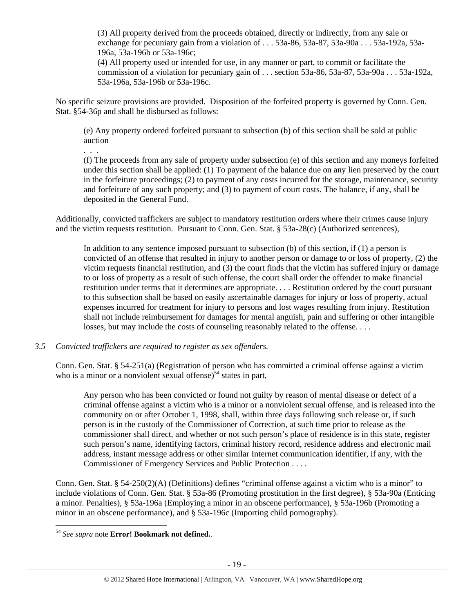(3) All property derived from the proceeds obtained, directly or indirectly, from any sale or exchange for pecuniary gain from a violation of . . . 53a-86, 53a-87, 53a-90a . . . 53a-192a, 53a-196a, 53a-196b or 53a-196c;

(4) All property used or intended for use, in any manner or part, to commit or facilitate the commission of a violation for pecuniary gain of . . . section 53a-86, 53a-87, 53a-90a . . . 53a-192a, 53a-196a, 53a-196b or 53a-196c.

No specific seizure provisions are provided. Disposition of the forfeited property is governed by Conn. Gen. Stat. §54-36p and shall be disbursed as follows:

(e) Any property ordered forfeited pursuant to subsection (b) of this section shall be sold at public auction

(f) The proceeds from any sale of property under subsection (e) of this section and any moneys forfeited under this section shall be applied: (1) To payment of the balance due on any lien preserved by the court in the forfeiture proceedings; (2) to payment of any costs incurred for the storage, maintenance, security and forfeiture of any such property; and (3) to payment of court costs. The balance, if any, shall be deposited in the General Fund.

Additionally, convicted traffickers are subject to mandatory restitution orders where their crimes cause injury and the victim requests restitution. Pursuant to Conn. Gen. Stat. § 53a-28(c) (Authorized sentences),

In addition to any sentence imposed pursuant to subsection (b) of this section, if (1) a person is convicted of an offense that resulted in injury to another person or damage to or loss of property, (2) the victim requests financial restitution, and (3) the court finds that the victim has suffered injury or damage to or loss of property as a result of such offense, the court shall order the offender to make financial restitution under terms that it determines are appropriate. . . . Restitution ordered by the court pursuant to this subsection shall be based on easily ascertainable damages for injury or loss of property, actual expenses incurred for treatment for injury to persons and lost wages resulting from injury. Restitution shall not include reimbursement for damages for mental anguish, pain and suffering or other intangible losses, but may include the costs of counseling reasonably related to the offense....

#### *3.5 Convicted traffickers are required to register as sex offenders.*

. . .

Conn. Gen. Stat. § 54-251(a) (Registration of person who has committed a criminal offense against a victim who is a minor or a nonviolent sexual offense) $54$  states in part,

Any person who has been convicted or found not guilty by reason of mental disease or defect of a criminal offense against a victim who is a minor or a nonviolent sexual offense, and is released into the community on or after October 1, 1998, shall, within three days following such release or, if such person is in the custody of the Commissioner of Correction, at such time prior to release as the commissioner shall direct, and whether or not such person's place of residence is in this state, register such person's name, identifying factors, criminal history record, residence address and electronic mail address, instant message address or other similar Internet communication identifier, if any, with the Commissioner of Emergency Services and Public Protection . . . .

Conn. Gen. Stat. § 54-250(2)(A) (Definitions) defines "criminal offense against a victim who is a minor" to include violations of Conn. Gen. Stat. § 53a-86 (Promoting prostitution in the first degree), § 53a-90a (Enticing a minor. Penalties), § 53a-196a (Employing a minor in an obscene performance), § 53a-196b (Promoting a minor in an obscene performance), and § 53a-196c (Importing child pornography).

<sup>54</sup> *See supra* note **Error! Bookmark not defined.**.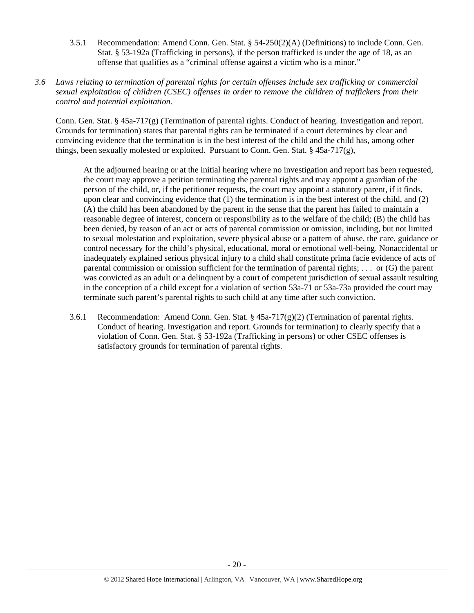- 3.5.1 Recommendation: Amend Conn. Gen. Stat. § 54-250(2)(A) (Definitions) to include Conn. Gen. Stat. § 53-192a (Trafficking in persons), if the person trafficked is under the age of 18, as an offense that qualifies as a "criminal offense against a victim who is a minor."
- *3.6 Laws relating to termination of parental rights for certain offenses include sex trafficking or commercial sexual exploitation of children (CSEC) offenses in order to remove the children of traffickers from their control and potential exploitation.*

Conn. Gen. Stat. § 45a-717(g) (Termination of parental rights. Conduct of hearing. Investigation and report. Grounds for termination) states that parental rights can be terminated if a court determines by clear and convincing evidence that the termination is in the best interest of the child and the child has, among other things, been sexually molested or exploited. Pursuant to Conn. Gen. Stat.  $\S$  45a-717(g),

At the adjourned hearing or at the initial hearing where no investigation and report has been requested, the court may approve a petition terminating the parental rights and may appoint a guardian of the person of the child, or, if the petitioner requests, the court may appoint a statutory parent, if it finds, upon clear and convincing evidence that (1) the termination is in the best interest of the child, and (2) (A) the child has been abandoned by the parent in the sense that the parent has failed to maintain a reasonable degree of interest, concern or responsibility as to the welfare of the child; (B) the child has been denied, by reason of an act or acts of parental commission or omission, including, but not limited to sexual molestation and exploitation, severe physical abuse or a pattern of abuse, the care, guidance or control necessary for the child's physical, educational, moral or emotional well-being. Nonaccidental or inadequately explained serious physical injury to a child shall constitute prima facie evidence of acts of parental commission or omission sufficient for the termination of parental rights; . . . or (G) the parent was convicted as an adult or a delinquent by a court of competent jurisdiction of sexual assault resulting in the conception of a child except for a violation of section 53a-71 or 53a-73a provided the court may terminate such parent's parental rights to such child at any time after such conviction.

3.6.1 Recommendation: Amend Conn. Gen. Stat.  $\S 45a-717(g)(2)$  (Termination of parental rights. Conduct of hearing. Investigation and report. Grounds for termination) to clearly specify that a violation of Conn. Gen. Stat. § 53-192a (Trafficking in persons) or other CSEC offenses is satisfactory grounds for termination of parental rights.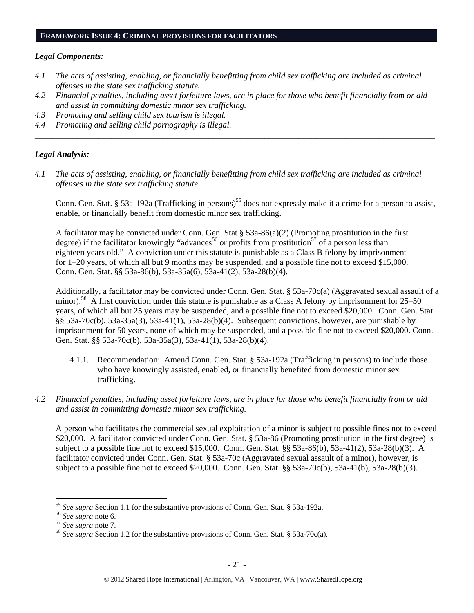#### **FRAMEWORK ISSUE 4: CRIMINAL PROVISIONS FOR FACILITATORS**

#### *Legal Components:*

- *4.1 The acts of assisting, enabling, or financially benefitting from child sex trafficking are included as criminal offenses in the state sex trafficking statute.*
- *4.2 Financial penalties, including asset forfeiture laws, are in place for those who benefit financially from or aid and assist in committing domestic minor sex trafficking.*

*\_\_\_\_\_\_\_\_\_\_\_\_\_\_\_\_\_\_\_\_\_\_\_\_\_\_\_\_\_\_\_\_\_\_\_\_\_\_\_\_\_\_\_\_\_\_\_\_\_\_\_\_\_\_\_\_\_\_\_\_\_\_\_\_\_\_\_\_\_\_\_\_\_\_\_\_\_\_\_\_\_\_\_\_\_\_\_\_\_\_\_\_\_\_* 

- *4.3 Promoting and selling child sex tourism is illegal.*
- *4.4 Promoting and selling child pornography is illegal.*

#### *Legal Analysis:*

*4.1 The acts of assisting, enabling, or financially benefitting from child sex trafficking are included as criminal offenses in the state sex trafficking statute.* 

Conn. Gen. Stat. § 53a-192a (Trafficking in persons)<sup>55</sup> does not expressly make it a crime for a person to assist, enable, or financially benefit from domestic minor sex trafficking.

A facilitator may be convicted under Conn. Gen. Stat § 53a-86(a)(2) (Promoting prostitution in the first degree) if the facilitator knowingly "advances<sup>56</sup> or profits from prostitution<sup>57</sup> of a person less than eighteen years old." A conviction under this statute is punishable as a Class B felony by imprisonment for 1–20 years, of which all but 9 months may be suspended, and a possible fine not to exceed \$15,000. Conn. Gen. Stat. §§ 53a-86(b), 53a-35a(6), 53a-41(2), 53a-28(b)(4).

Additionally, a facilitator may be convicted under Conn. Gen. Stat. § 53a-70c(a) (Aggravated sexual assault of a minor).<sup>58</sup> A first conviction under this statute is punishable as a Class A felony by imprisonment for 25–50 years, of which all but 25 years may be suspended, and a possible fine not to exceed \$20,000. Conn. Gen. Stat. §§ 53a-70c(b), 53a-35a(3), 53a-41(1), 53a-28(b)(4). Subsequent convictions, however, are punishable by imprisonment for 50 years, none of which may be suspended, and a possible fine not to exceed \$20,000. Conn. Gen. Stat. §§ 53a-70c(b), 53a-35a(3), 53a-41(1), 53a-28(b)(4).

- 4.1.1. Recommendation: Amend Conn. Gen. Stat. § 53a-192a (Trafficking in persons) to include those who have knowingly assisted, enabled, or financially benefited from domestic minor sex trafficking.
- *4.2 Financial penalties, including asset forfeiture laws, are in place for those who benefit financially from or aid and assist in committing domestic minor sex trafficking.*

A person who facilitates the commercial sexual exploitation of a minor is subject to possible fines not to exceed \$20,000. A facilitator convicted under Conn. Gen. Stat. § 53a-86 (Promoting prostitution in the first degree) is subject to a possible fine not to exceed \$15,000. Conn. Gen. Stat. §§ 53a-86(b), 53a-41(2), 53a-28(b)(3). A facilitator convicted under Conn. Gen. Stat. § 53a-70c (Aggravated sexual assault of a minor), however, is subject to a possible fine not to exceed \$20,000. Conn. Gen. Stat. §§ 53a-70c(b), 53a-41(b), 53a-28(b)(3).

<sup>&</sup>lt;sup>55</sup> See supra Section 1.1 for the substantive provisions of Conn. Gen. Stat. § 53a-192a.

<sup>&</sup>lt;sup>56</sup> See supra note 6.<br><sup>57</sup> See supra note 7.<br><sup>58</sup> See supra Section 1.2 for the substantive provisions of Conn. Gen. Stat. § 53a-70c(a).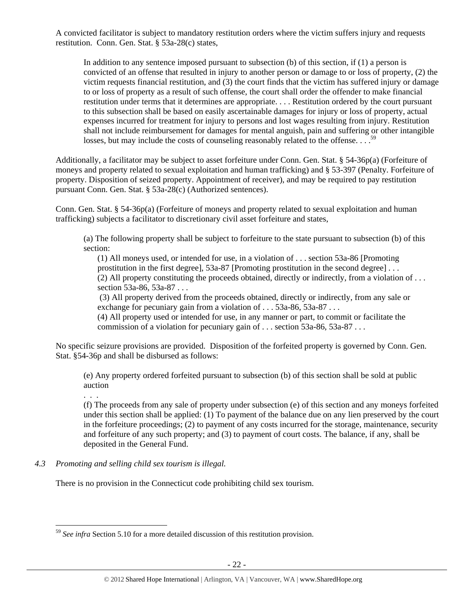A convicted facilitator is subject to mandatory restitution orders where the victim suffers injury and requests restitution. Conn. Gen. Stat. § 53a-28(c) states,

In addition to any sentence imposed pursuant to subsection (b) of this section, if (1) a person is convicted of an offense that resulted in injury to another person or damage to or loss of property, (2) the victim requests financial restitution, and (3) the court finds that the victim has suffered injury or damage to or loss of property as a result of such offense, the court shall order the offender to make financial restitution under terms that it determines are appropriate. . . . Restitution ordered by the court pursuant to this subsection shall be based on easily ascertainable damages for injury or loss of property, actual expenses incurred for treatment for injury to persons and lost wages resulting from injury. Restitution shall not include reimbursement for damages for mental anguish, pain and suffering or other intangible losses, but may include the costs of counseling reasonably related to the offense. . . .<sup>59</sup>

Additionally, a facilitator may be subject to asset forfeiture under Conn. Gen. Stat. § 54-36p(a) (Forfeiture of moneys and property related to sexual exploitation and human trafficking) and § 53-397 (Penalty. Forfeiture of property. Disposition of seized property. Appointment of receiver), and may be required to pay restitution pursuant Conn. Gen. Stat. § 53a-28(c) (Authorized sentences).

Conn. Gen. Stat. § 54-36p(a) (Forfeiture of moneys and property related to sexual exploitation and human trafficking) subjects a facilitator to discretionary civil asset forfeiture and states,

(a) The following property shall be subject to forfeiture to the state pursuant to subsection (b) of this section:

(1) All moneys used, or intended for use, in a violation of . . . section 53a-86 [Promoting prostitution in the first degree], 53a-87 [Promoting prostitution in the second degree] . . .  $(2)$  All property constituting the proceeds obtained, directly or indirectly, from a violation of ... section 53a-86, 53a-87 . . .

 (3) All property derived from the proceeds obtained, directly or indirectly, from any sale or exchange for pecuniary gain from a violation of . . . 53a-86, 53a-87 . . .

(4) All property used or intended for use, in any manner or part, to commit or facilitate the commission of a violation for pecuniary gain of . . . section 53a-86, 53a-87 . . .

No specific seizure provisions are provided. Disposition of the forfeited property is governed by Conn. Gen. Stat. §54-36p and shall be disbursed as follows:

(e) Any property ordered forfeited pursuant to subsection (b) of this section shall be sold at public auction

. . .

(f) The proceeds from any sale of property under subsection (e) of this section and any moneys forfeited under this section shall be applied: (1) To payment of the balance due on any lien preserved by the court in the forfeiture proceedings; (2) to payment of any costs incurred for the storage, maintenance, security and forfeiture of any such property; and (3) to payment of court costs. The balance, if any, shall be deposited in the General Fund.

*4.3 Promoting and selling child sex tourism is illegal.* 

There is no provision in the Connecticut code prohibiting child sex tourism.

 $\overline{a}$ <sup>59</sup> *See infra* Section 5.10 for a more detailed discussion of this restitution provision.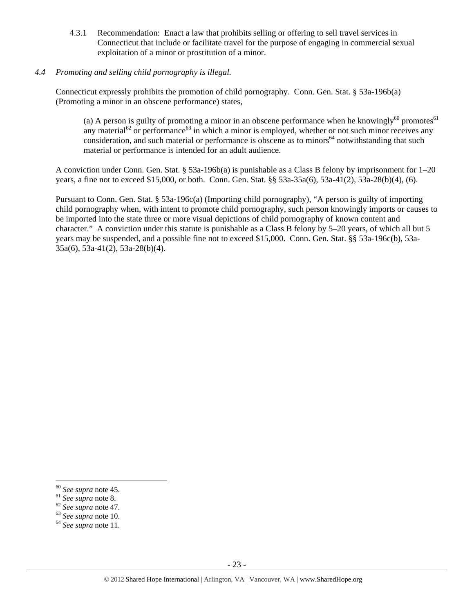4.3.1 Recommendation: Enact a law that prohibits selling or offering to sell travel services in Connecticut that include or facilitate travel for the purpose of engaging in commercial sexual exploitation of a minor or prostitution of a minor.

## *4.4 Promoting and selling child pornography is illegal.*

Connecticut expressly prohibits the promotion of child pornography. Conn. Gen. Stat. § 53a-196b(a) (Promoting a minor in an obscene performance) states,

(a) A person is guilty of promoting a minor in an obscene performance when he knowingly<sup>60</sup> promotes<sup>61</sup> any material<sup>62</sup> or performance<sup>63</sup> in which a minor is employed, whether or not such minor receives any consideration, and such material or performance is obscene as to minors<sup>64</sup> notwithstanding that such material or performance is intended for an adult audience.

A conviction under Conn. Gen. Stat. § 53a-196b(a) is punishable as a Class B felony by imprisonment for 1–20 years, a fine not to exceed \$15,000, or both. Conn. Gen. Stat. §§ 53a-35a(6), 53a-41(2), 53a-28(b)(4), (6).

Pursuant to Conn. Gen. Stat. § 53a-196c(a) (Importing child pornography), "A person is guilty of importing child pornography when, with intent to promote child pornography, such person knowingly imports or causes to be imported into the state three or more visual depictions of child pornography of known content and character." A conviction under this statute is punishable as a Class B felony by 5–20 years, of which all but 5 years may be suspended, and a possible fine not to exceed \$15,000. Conn. Gen. Stat. §§ 53a-196c(b), 53a-35a(6), 53a-41(2), 53a-28(b)(4).

<sup>60</sup> *See supra* note 45. 61 *See supra* note 8. 62 *See supra* note 47. 63 *See supra* note 10. 64 *See supra* note 11.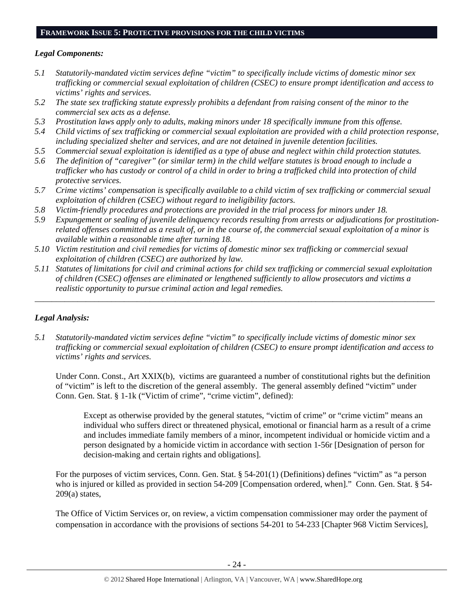## **FRAMEWORK ISSUE 5: PROTECTIVE PROVISIONS FOR THE CHILD VICTIMS**

## *Legal Components:*

- *5.1 Statutorily-mandated victim services define "victim" to specifically include victims of domestic minor sex trafficking or commercial sexual exploitation of children (CSEC) to ensure prompt identification and access to victims' rights and services.*
- *5.2 The state sex trafficking statute expressly prohibits a defendant from raising consent of the minor to the commercial sex acts as a defense.*
- *5.3 Prostitution laws apply only to adults, making minors under 18 specifically immune from this offense.*
- *5.4 Child victims of sex trafficking or commercial sexual exploitation are provided with a child protection response, including specialized shelter and services, and are not detained in juvenile detention facilities.*
- *5.5 Commercial sexual exploitation is identified as a type of abuse and neglect within child protection statutes.*
- *5.6 The definition of "caregiver" (or similar term) in the child welfare statutes is broad enough to include a trafficker who has custody or control of a child in order to bring a trafficked child into protection of child protective services.*
- *5.7 Crime victims' compensation is specifically available to a child victim of sex trafficking or commercial sexual exploitation of children (CSEC) without regard to ineligibility factors.*
- *5.8 Victim-friendly procedures and protections are provided in the trial process for minors under 18.*
- *5.9 Expungement or sealing of juvenile delinquency records resulting from arrests or adjudications for prostitutionrelated offenses committed as a result of, or in the course of, the commercial sexual exploitation of a minor is available within a reasonable time after turning 18.*
- *5.10 Victim restitution and civil remedies for victims of domestic minor sex trafficking or commercial sexual exploitation of children (CSEC) are authorized by law.*
- *5.11 Statutes of limitations for civil and criminal actions for child sex trafficking or commercial sexual exploitation of children (CSEC) offenses are eliminated or lengthened sufficiently to allow prosecutors and victims a realistic opportunity to pursue criminal action and legal remedies.*

*\_\_\_\_\_\_\_\_\_\_\_\_\_\_\_\_\_\_\_\_\_\_\_\_\_\_\_\_\_\_\_\_\_\_\_\_\_\_\_\_\_\_\_\_\_\_\_\_\_\_\_\_\_\_\_\_\_\_\_\_\_\_\_\_\_\_\_\_\_\_\_\_\_\_\_\_\_\_\_\_\_\_\_\_\_\_\_\_\_\_\_\_\_\_* 

# *Legal Analysis:*

*5.1 Statutorily-mandated victim services define "victim" to specifically include victims of domestic minor sex trafficking or commercial sexual exploitation of children (CSEC) to ensure prompt identification and access to victims' rights and services.* 

Under Conn. Const., Art XXIX(b), victims are guaranteed a number of constitutional rights but the definition of "victim" is left to the discretion of the general assembly. The general assembly defined "victim" under Conn. Gen. Stat. § 1-1k ("Victim of crime", "crime victim", defined):

Except as otherwise provided by the general statutes, "victim of crime" or "crime victim" means an individual who suffers direct or threatened physical, emotional or financial harm as a result of a crime and includes immediate family members of a minor, incompetent individual or homicide victim and a person designated by a homicide victim in accordance with section 1-56r [Designation of person for decision-making and certain rights and obligations].

For the purposes of victim services, Conn. Gen. Stat. § 54-201(1) (Definitions) defines "victim" as "a person who is injured or killed as provided in section 54-209 [Compensation ordered, when]." Conn. Gen. Stat. § 54-209(a) states,

The Office of Victim Services or, on review, a victim compensation commissioner may order the payment of compensation in accordance with the provisions of sections 54-201 to 54-233 [Chapter 968 Victim Services],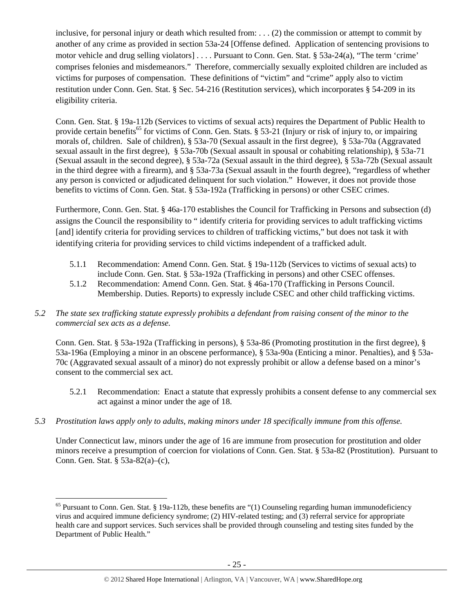inclusive, for personal injury or death which resulted from: . . . (2) the commission or attempt to commit by another of any crime as provided in section 53a-24 [Offense defined. Application of sentencing provisions to motor vehicle and drug selling violators] . . . . Pursuant to Conn. Gen. Stat. § 53a-24(a), "The term 'crime' comprises felonies and misdemeanors." Therefore, commercially sexually exploited children are included as victims for purposes of compensation. These definitions of "victim" and "crime" apply also to victim restitution under Conn. Gen. Stat. § Sec. 54-216 (Restitution services), which incorporates § 54-209 in its eligibility criteria.

Conn. Gen. Stat. § 19a-112b (Services to victims of sexual acts) requires the Department of Public Health to provide certain benefits<sup>65</sup> for victims of Conn. Gen. Stats. § 53-21 (Injury or risk of injury to, or impairing morals of, children. Sale of children), § 53a-70 (Sexual assault in the first degree), § 53a-70a (Aggravated sexual assault in the first degree), § 53a-70b (Sexual assault in spousal or cohabiting relationship), § 53a-71 (Sexual assault in the second degree), § 53a-72a (Sexual assault in the third degree), § 53a-72b (Sexual assault in the third degree with a firearm), and § 53a-73a (Sexual assault in the fourth degree), "regardless of whether any person is convicted or adjudicated delinquent for such violation." However, it does not provide those benefits to victims of Conn. Gen. Stat. § 53a-192a (Trafficking in persons) or other CSEC crimes.

Furthermore, Conn. Gen. Stat. § 46a-170 establishes the Council for Trafficking in Persons and subsection (d) assigns the Council the responsibility to " identify criteria for providing services to adult trafficking victims [and] identify criteria for providing services to children of trafficking victims," but does not task it with identifying criteria for providing services to child victims independent of a trafficked adult.

- 5.1.1 Recommendation: Amend Conn. Gen. Stat. § 19a-112b (Services to victims of sexual acts) to include Conn. Gen. Stat. § 53a-192a (Trafficking in persons) and other CSEC offenses.
- 5.1.2 Recommendation: Amend Conn. Gen. Stat. § 46a-170 (Trafficking in Persons Council. Membership. Duties. Reports) to expressly include CSEC and other child trafficking victims.
- *5.2 The state sex trafficking statute expressly prohibits a defendant from raising consent of the minor to the commercial sex acts as a defense.*

Conn. Gen. Stat. § 53a-192a (Trafficking in persons), § 53a-86 (Promoting prostitution in the first degree), § 53a-196a (Employing a minor in an obscene performance), § 53a-90a (Enticing a minor. Penalties), and § 53a-70c (Aggravated sexual assault of a minor) do not expressly prohibit or allow a defense based on a minor's consent to the commercial sex act.

- 5.2.1 Recommendation: Enact a statute that expressly prohibits a consent defense to any commercial sex act against a minor under the age of 18.
- *5.3 Prostitution laws apply only to adults, making minors under 18 specifically immune from this offense.*

Under Connecticut law, minors under the age of 16 are immune from prosecution for prostitution and older minors receive a presumption of coercion for violations of Conn. Gen. Stat. § 53a-82 (Prostitution). Pursuant to Conn. Gen. Stat. § 53a-82(a)–(c),

 $\overline{a}$  $65$  Pursuant to Conn. Gen. Stat. § 19a-112b, these benefits are "(1) Counseling regarding human immunodeficiency virus and acquired immune deficiency syndrome; (2) HIV-related testing; and (3) referral service for appropriate health care and support services. Such services shall be provided through counseling and testing sites funded by the Department of Public Health."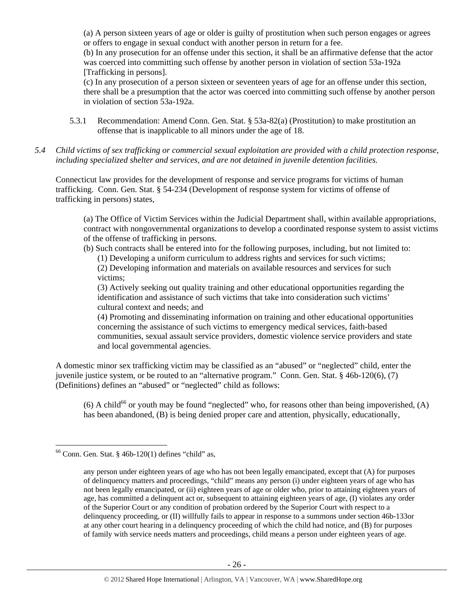(a) A person sixteen years of age or older is guilty of prostitution when such person engages or agrees or offers to engage in sexual conduct with another person in return for a fee.

(b) In any prosecution for an offense under this section, it shall be an affirmative defense that the actor was coerced into committing such offense by another person in violation of section 53a-192a [Trafficking in persons].

(c) In any prosecution of a person sixteen or seventeen years of age for an offense under this section, there shall be a presumption that the actor was coerced into committing such offense by another person in violation of section 53a-192a.

- 5.3.1 Recommendation: Amend Conn. Gen. Stat. § 53a-82(a) (Prostitution) to make prostitution an offense that is inapplicable to all minors under the age of 18.
- *5.4 Child victims of sex trafficking or commercial sexual exploitation are provided with a child protection response, including specialized shelter and services, and are not detained in juvenile detention facilities.*

Connecticut law provides for the development of response and service programs for victims of human trafficking. Conn. Gen. Stat. § 54-234 (Development of response system for victims of offense of trafficking in persons) states,

(a) The Office of Victim Services within the Judicial Department shall, within available appropriations, contract with nongovernmental organizations to develop a coordinated response system to assist victims of the offense of trafficking in persons.

(b) Such contracts shall be entered into for the following purposes, including, but not limited to: (1) Developing a uniform curriculum to address rights and services for such victims; (2) Developing information and materials on available resources and services for such victims;

(3) Actively seeking out quality training and other educational opportunities regarding the identification and assistance of such victims that take into consideration such victims' cultural context and needs; and

(4) Promoting and disseminating information on training and other educational opportunities concerning the assistance of such victims to emergency medical services, faith-based communities, sexual assault service providers, domestic violence service providers and state and local governmental agencies.

A domestic minor sex trafficking victim may be classified as an "abused" or "neglected" child, enter the juvenile justice system, or be routed to an "alternative program." Conn. Gen. Stat. § 46b-120(6), (7) (Definitions) defines an "abused" or "neglected" child as follows:

(6) A child<sup>66</sup> or youth may be found "neglected" who, for reasons other than being impoverished, (A) has been abandoned, (B) is being denied proper care and attention, physically, educationally,

 $\overline{a}$  $66$  Conn. Gen. Stat. § 46b-120(1) defines "child" as,

any person under eighteen years of age who has not been legally emancipated, except that (A) for purposes of delinquency matters and proceedings, "child" means any person (i) under eighteen years of age who has not been legally emancipated, or (ii) eighteen years of age or older who, prior to attaining eighteen years of age, has committed a delinquent act or, subsequent to attaining eighteen years of age, (I) violates any order of the Superior Court or any condition of probation ordered by the Superior Court with respect to a delinquency proceeding, or (II) willfully fails to appear in response to a summons under section 46b-133or at any other court hearing in a delinquency proceeding of which the child had notice, and (B) for purposes of family with service needs matters and proceedings, child means a person under eighteen years of age.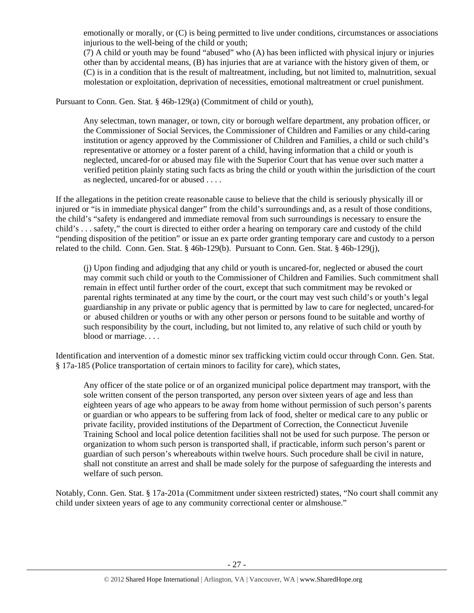emotionally or morally, or (C) is being permitted to live under conditions, circumstances or associations injurious to the well-being of the child or youth;

(7) A child or youth may be found "abused" who (A) has been inflicted with physical injury or injuries other than by accidental means, (B) has injuries that are at variance with the history given of them, or (C) is in a condition that is the result of maltreatment, including, but not limited to, malnutrition, sexual molestation or exploitation, deprivation of necessities, emotional maltreatment or cruel punishment.

Pursuant to Conn. Gen. Stat. § 46b-129(a) (Commitment of child or youth),

Any selectman, town manager, or town, city or borough welfare department, any probation officer, or the Commissioner of Social Services, the Commissioner of Children and Families or any child-caring institution or agency approved by the Commissioner of Children and Families, a child or such child's representative or attorney or a foster parent of a child, having information that a child or youth is neglected, uncared-for or abused may file with the Superior Court that has venue over such matter a verified petition plainly stating such facts as bring the child or youth within the jurisdiction of the court as neglected, uncared-for or abused . . . .

If the allegations in the petition create reasonable cause to believe that the child is seriously physically ill or injured or "is in immediate physical danger" from the child's surroundings and, as a result of those conditions, the child's "safety is endangered and immediate removal from such surroundings is necessary to ensure the child's . . . safety," the court is directed to either order a hearing on temporary care and custody of the child "pending disposition of the petition" or issue an ex parte order granting temporary care and custody to a person related to the child. Conn. Gen. Stat. § 46b-129(b). Pursuant to Conn. Gen. Stat. § 46b-129(j),

(j) Upon finding and adjudging that any child or youth is uncared-for, neglected or abused the court may commit such child or youth to the Commissioner of Children and Families. Such commitment shall remain in effect until further order of the court, except that such commitment may be revoked or parental rights terminated at any time by the court, or the court may vest such child's or youth's legal guardianship in any private or public agency that is permitted by law to care for neglected, uncared-for or abused children or youths or with any other person or persons found to be suitable and worthy of such responsibility by the court, including, but not limited to, any relative of such child or youth by blood or marriage. . . .

Identification and intervention of a domestic minor sex trafficking victim could occur through Conn. Gen. Stat. § 17a-185 (Police transportation of certain minors to facility for care), which states,

Any officer of the state police or of an organized municipal police department may transport, with the sole written consent of the person transported, any person over sixteen years of age and less than eighteen years of age who appears to be away from home without permission of such person's parents or guardian or who appears to be suffering from lack of food, shelter or medical care to any public or private facility, provided institutions of the Department of Correction, the Connecticut Juvenile Training School and local police detention facilities shall not be used for such purpose. The person or organization to whom such person is transported shall, if practicable, inform such person's parent or guardian of such person's whereabouts within twelve hours. Such procedure shall be civil in nature, shall not constitute an arrest and shall be made solely for the purpose of safeguarding the interests and welfare of such person.

Notably, Conn. Gen. Stat. § 17a-201a (Commitment under sixteen restricted) states, "No court shall commit any child under sixteen years of age to any community correctional center or almshouse."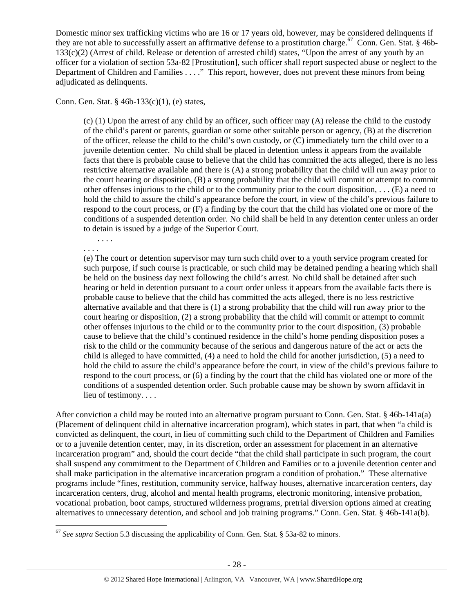Domestic minor sex trafficking victims who are 16 or 17 years old, however, may be considered delinquents if they are not able to successfully assert an affirmative defense to a prostitution charge.<sup>67</sup> Conn. Gen. Stat. § 46b-133(c)(2) (Arrest of child. Release or detention of arrested child) states, "Upon the arrest of any youth by an officer for a violation of section 53a-82 [Prostitution], such officer shall report suspected abuse or neglect to the Department of Children and Families . . . ." This report, however, does not prevent these minors from being adjudicated as delinquents.

Conn. Gen. Stat. § 46b-133(c)(1), (e) states,

(c) (1) Upon the arrest of any child by an officer, such officer may (A) release the child to the custody of the child's parent or parents, guardian or some other suitable person or agency, (B) at the discretion of the officer, release the child to the child's own custody, or (C) immediately turn the child over to a juvenile detention center. No child shall be placed in detention unless it appears from the available facts that there is probable cause to believe that the child has committed the acts alleged, there is no less restrictive alternative available and there is (A) a strong probability that the child will run away prior to the court hearing or disposition, (B) a strong probability that the child will commit or attempt to commit other offenses injurious to the child or to the community prior to the court disposition, . . . (E) a need to hold the child to assure the child's appearance before the court, in view of the child's previous failure to respond to the court process, or (F) a finding by the court that the child has violated one or more of the conditions of a suspended detention order. No child shall be held in any detention center unless an order to detain is issued by a judge of the Superior Court.

. . . . . . . .

 $\overline{a}$ 

(e) The court or detention supervisor may turn such child over to a youth service program created for such purpose, if such course is practicable, or such child may be detained pending a hearing which shall be held on the business day next following the child's arrest. No child shall be detained after such hearing or held in detention pursuant to a court order unless it appears from the available facts there is probable cause to believe that the child has committed the acts alleged, there is no less restrictive alternative available and that there is (1) a strong probability that the child will run away prior to the court hearing or disposition, (2) a strong probability that the child will commit or attempt to commit other offenses injurious to the child or to the community prior to the court disposition, (3) probable cause to believe that the child's continued residence in the child's home pending disposition poses a risk to the child or the community because of the serious and dangerous nature of the act or acts the child is alleged to have committed, (4) a need to hold the child for another jurisdiction, (5) a need to hold the child to assure the child's appearance before the court, in view of the child's previous failure to respond to the court process, or (6) a finding by the court that the child has violated one or more of the conditions of a suspended detention order. Such probable cause may be shown by sworn affidavit in lieu of testimony. . . .

After conviction a child may be routed into an alternative program pursuant to Conn. Gen. Stat. § 46b-141a(a) (Placement of delinquent child in alternative incarceration program), which states in part, that when "a child is convicted as delinquent, the court, in lieu of committing such child to the Department of Children and Families or to a juvenile detention center, may, in its discretion, order an assessment for placement in an alternative incarceration program" and, should the court decide "that the child shall participate in such program, the court shall suspend any commitment to the Department of Children and Families or to a juvenile detention center and shall make participation in the alternative incarceration program a condition of probation." These alternative programs include "fines, restitution, community service, halfway houses, alternative incarceration centers, day incarceration centers, drug, alcohol and mental health programs, electronic monitoring, intensive probation, vocational probation, boot camps, structured wilderness programs, pretrial diversion options aimed at creating alternatives to unnecessary detention, and school and job training programs." Conn. Gen. Stat. § 46b-141a(b).

<sup>67</sup> *See supra* Section 5.3 discussing the applicability of Conn. Gen. Stat. § 53a-82 to minors.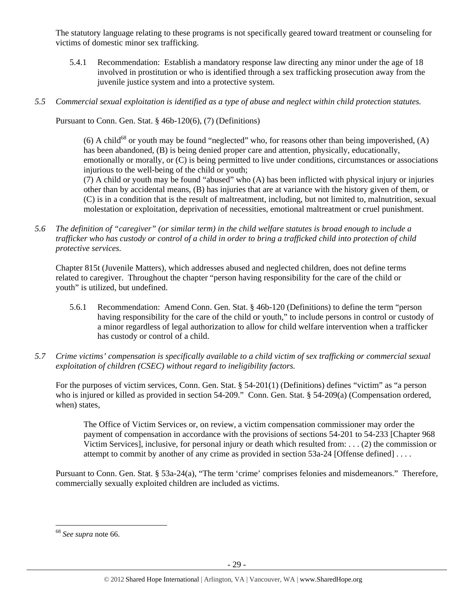The statutory language relating to these programs is not specifically geared toward treatment or counseling for victims of domestic minor sex trafficking.

- 5.4.1 Recommendation: Establish a mandatory response law directing any minor under the age of 18 involved in prostitution or who is identified through a sex trafficking prosecution away from the juvenile justice system and into a protective system.
- *5.5 Commercial sexual exploitation is identified as a type of abuse and neglect within child protection statutes.*

Pursuant to Conn. Gen. Stat. § 46b-120(6), (7) (Definitions)

(6) A child<sup>68</sup> or youth may be found "neglected" who, for reasons other than being impoverished, (A) has been abandoned, (B) is being denied proper care and attention, physically, educationally, emotionally or morally, or (C) is being permitted to live under conditions, circumstances or associations injurious to the well-being of the child or youth;

(7) A child or youth may be found "abused" who (A) has been inflicted with physical injury or injuries other than by accidental means, (B) has injuries that are at variance with the history given of them, or (C) is in a condition that is the result of maltreatment, including, but not limited to, malnutrition, sexual molestation or exploitation, deprivation of necessities, emotional maltreatment or cruel punishment.

*5.6 The definition of "caregiver" (or similar term) in the child welfare statutes is broad enough to include a trafficker who has custody or control of a child in order to bring a trafficked child into protection of child protective services.* 

Chapter 815t (Juvenile Matters), which addresses abused and neglected children, does not define terms related to caregiver. Throughout the chapter "person having responsibility for the care of the child or youth" is utilized, but undefined.

- 5.6.1 Recommendation: Amend Conn. Gen. Stat. § 46b-120 (Definitions) to define the term "person having responsibility for the care of the child or youth," to include persons in control or custody of a minor regardless of legal authorization to allow for child welfare intervention when a trafficker has custody or control of a child.
- *5.7 Crime victims' compensation is specifically available to a child victim of sex trafficking or commercial sexual exploitation of children (CSEC) without regard to ineligibility factors.*

For the purposes of victim services, Conn. Gen. Stat. § 54-201(1) (Definitions) defines "victim" as "a person who is injured or killed as provided in section 54-209." Conn. Gen. Stat. § 54-209(a) (Compensation ordered, when) states,

The Office of Victim Services or, on review, a victim compensation commissioner may order the payment of compensation in accordance with the provisions of sections 54-201 to 54-233 [Chapter 968 Victim Services], inclusive, for personal injury or death which resulted from: . . . (2) the commission or attempt to commit by another of any crime as provided in section 53a-24 [Offense defined] . . . .

Pursuant to Conn. Gen. Stat. § 53a-24(a), "The term 'crime' comprises felonies and misdemeanors." Therefore, commercially sexually exploited children are included as victims.

<sup>68</sup> *See supra* note 66.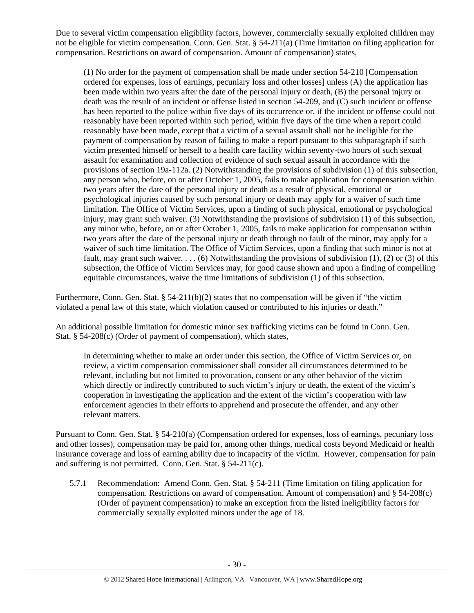Due to several victim compensation eligibility factors, however, commercially sexually exploited children may not be eligible for victim compensation. Conn. Gen. Stat. § 54-211(a) (Time limitation on filing application for compensation. Restrictions on award of compensation. Amount of compensation) states,

(1) No order for the payment of compensation shall be made under section 54-210 [Compensation ordered for expenses, loss of earnings, pecuniary loss and other losses] unless (A) the application has been made within two years after the date of the personal injury or death, (B) the personal injury or death was the result of an incident or offense listed in section 54-209, and (C) such incident or offense has been reported to the police within five days of its occurrence or, if the incident or offense could not reasonably have been reported within such period, within five days of the time when a report could reasonably have been made, except that a victim of a sexual assault shall not be ineligible for the payment of compensation by reason of failing to make a report pursuant to this subparagraph if such victim presented himself or herself to a health care facility within seventy-two hours of such sexual assault for examination and collection of evidence of such sexual assault in accordance with the provisions of section 19a-112a. (2) Notwithstanding the provisions of subdivision (1) of this subsection, any person who, before, on or after October 1, 2005, fails to make application for compensation within two years after the date of the personal injury or death as a result of physical, emotional or psychological injuries caused by such personal injury or death may apply for a waiver of such time limitation. The Office of Victim Services, upon a finding of such physical, emotional or psychological injury, may grant such waiver. (3) Notwithstanding the provisions of subdivision (1) of this subsection, any minor who, before, on or after October 1, 2005, fails to make application for compensation within two years after the date of the personal injury or death through no fault of the minor, may apply for a waiver of such time limitation. The Office of Victim Services, upon a finding that such minor is not at fault, may grant such waiver. . . . (6) Notwithstanding the provisions of subdivision (1), (2) or (3) of this subsection, the Office of Victim Services may, for good cause shown and upon a finding of compelling equitable circumstances, waive the time limitations of subdivision (1) of this subsection.

Furthermore, Conn. Gen. Stat. § 54-211(b)(2) states that no compensation will be given if "the victim violated a penal law of this state, which violation caused or contributed to his injuries or death."

An additional possible limitation for domestic minor sex trafficking victims can be found in Conn. Gen. Stat. §  $54-208(c)$  (Order of payment of compensation), which states,

In determining whether to make an order under this section, the Office of Victim Services or, on review, a victim compensation commissioner shall consider all circumstances determined to be relevant, including but not limited to provocation, consent or any other behavior of the victim which directly or indirectly contributed to such victim's injury or death, the extent of the victim's cooperation in investigating the application and the extent of the victim's cooperation with law enforcement agencies in their efforts to apprehend and prosecute the offender, and any other relevant matters.

Pursuant to Conn. Gen. Stat. § 54-210(a) (Compensation ordered for expenses, loss of earnings, pecuniary loss and other losses), compensation may be paid for, among other things, medical costs beyond Medicaid or health insurance coverage and loss of earning ability due to incapacity of the victim. However, compensation for pain and suffering is not permitted. Conn. Gen. Stat. § 54-211(c).

5.7.1 Recommendation: Amend Conn. Gen. Stat. § 54-211 (Time limitation on filing application for compensation. Restrictions on award of compensation. Amount of compensation) and § 54-208(c) (Order of payment compensation) to make an exception from the listed ineligibility factors for commercially sexually exploited minors under the age of 18.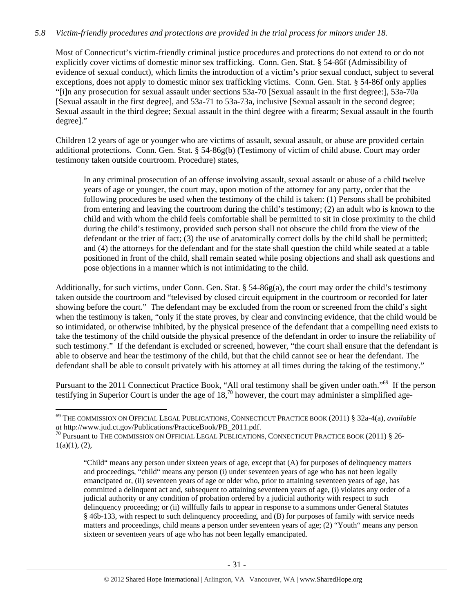# *5.8 Victim-friendly procedures and protections are provided in the trial process for minors under 18.*

Most of Connecticut's victim-friendly criminal justice procedures and protections do not extend to or do not explicitly cover victims of domestic minor sex trafficking. Conn. Gen. Stat. § 54-86f (Admissibility of evidence of sexual conduct), which limits the introduction of a victim's prior sexual conduct, subject to several exceptions, does not apply to domestic minor sex trafficking victims. Conn. Gen. Stat. § 54-86f only applies "[i]n any prosecution for sexual assault under sections 53a-70 [Sexual assault in the first degree:], 53a-70a [Sexual assault in the first degree], and 53a-71 to 53a-73a, inclusive [Sexual assault in the second degree; Sexual assault in the third degree; Sexual assault in the third degree with a firearm; Sexual assault in the fourth degree]."

Children 12 years of age or younger who are victims of assault, sexual assault, or abuse are provided certain additional protections. Conn. Gen. Stat. § 54-86g(b) (Testimony of victim of child abuse. Court may order testimony taken outside courtroom. Procedure) states,

In any criminal prosecution of an offense involving assault, sexual assault or abuse of a child twelve years of age or younger, the court may, upon motion of the attorney for any party, order that the following procedures be used when the testimony of the child is taken: (1) Persons shall be prohibited from entering and leaving the courtroom during the child's testimony; (2) an adult who is known to the child and with whom the child feels comfortable shall be permitted to sit in close proximity to the child during the child's testimony, provided such person shall not obscure the child from the view of the defendant or the trier of fact; (3) the use of anatomically correct dolls by the child shall be permitted; and (4) the attorneys for the defendant and for the state shall question the child while seated at a table positioned in front of the child, shall remain seated while posing objections and shall ask questions and pose objections in a manner which is not intimidating to the child.

Additionally, for such victims, under Conn. Gen. Stat. § 54-86g(a), the court may order the child's testimony taken outside the courtroom and "televised by closed circuit equipment in the courtroom or recorded for later showing before the court." The defendant may be excluded from the room or screened from the child's sight when the testimony is taken, "only if the state proves, by clear and convincing evidence, that the child would be so intimidated, or otherwise inhibited, by the physical presence of the defendant that a compelling need exists to take the testimony of the child outside the physical presence of the defendant in order to insure the reliability of such testimony." If the defendant is excluded or screened, however, "the court shall ensure that the defendant is able to observe and hear the testimony of the child, but that the child cannot see or hear the defendant. The defendant shall be able to consult privately with his attorney at all times during the taking of the testimony."

Pursuant to the 2011 Connecticut Practice Book, "All oral testimony shall be given under oath."<sup>69</sup> If the person testifying in Superior Court is under the age of  $18<sup>70</sup>$  however, the court may administer a simplified age-

<sup>69</sup> THE COMMISSION ON OFFICIAL LEGAL PUBLICATIONS, CONNECTICUT PRACTICE BOOK (2011) § 32a-4(a), *available* 

 $^{70}$  Pursuant to The commission on Official Legal Publications, Connecticut Practice book (2011) § 26- $1(a)(1), (2),$ 

<sup>&</sup>quot;Child" means any person under sixteen years of age, except that (A) for purposes of delinquency matters and proceedings, "child" means any person (i) under seventeen years of age who has not been legally emancipated or, (ii) seventeen years of age or older who, prior to attaining seventeen years of age, has committed a delinquent act and, subsequent to attaining seventeen years of age, (i) violates any order of a judicial authority or any condition of probation ordered by a judicial authority with respect to such delinquency proceeding; or (ii) willfully fails to appear in response to a summons under General Statutes § 46b-133, with respect to such delinquency proceeding, and (B) for purposes of family with service needs matters and proceedings, child means a person under seventeen years of age; (2) "Youth" means any person sixteen or seventeen years of age who has not been legally emancipated.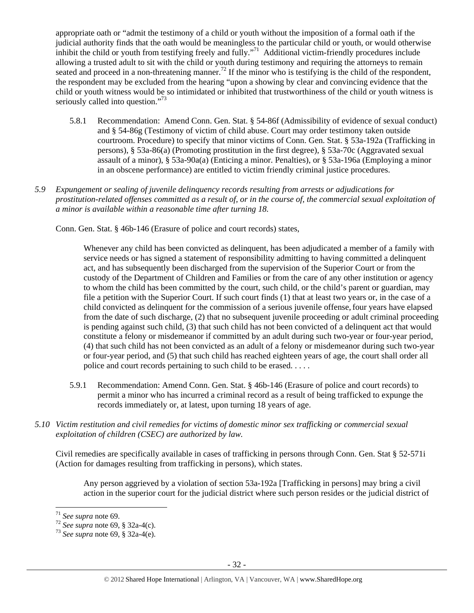appropriate oath or "admit the testimony of a child or youth without the imposition of a formal oath if the judicial authority finds that the oath would be meaningless to the particular child or youth, or would otherwise inhibit the child or youth from testifying freely and fully."<sup>71</sup> Additional victim-friendly procedures include allowing a trusted adult to sit with the child or youth during testimony and requiring the attorneys to remain seated and proceed in a non-threatening manner.<sup>72</sup> If the minor who is testifying is the child of the respondent, the respondent may be excluded from the hearing "upon a showing by clear and convincing evidence that the child or youth witness would be so intimidated or inhibited that trustworthiness of the child or youth witness is seriously called into question."<sup>73</sup>

- 5.8.1 Recommendation: Amend Conn. Gen. Stat. § 54-86f (Admissibility of evidence of sexual conduct) and § 54-86g (Testimony of victim of child abuse. Court may order testimony taken outside courtroom. Procedure) to specify that minor victims of Conn. Gen. Stat. § 53a-192a (Trafficking in persons), § 53a-86(a) (Promoting prostitution in the first degree), § 53a-70c (Aggravated sexual assault of a minor), § 53a-90a(a) (Enticing a minor. Penalties), or § 53a-196a (Employing a minor in an obscene performance) are entitled to victim friendly criminal justice procedures.
- *5.9 Expungement or sealing of juvenile delinquency records resulting from arrests or adjudications for prostitution-related offenses committed as a result of, or in the course of, the commercial sexual exploitation of a minor is available within a reasonable time after turning 18.*

Conn. Gen. Stat. § 46b-146 (Erasure of police and court records) states,

Whenever any child has been convicted as delinquent, has been adjudicated a member of a family with service needs or has signed a statement of responsibility admitting to having committed a delinquent act, and has subsequently been discharged from the supervision of the Superior Court or from the custody of the Department of Children and Families or from the care of any other institution or agency to whom the child has been committed by the court, such child, or the child's parent or guardian, may file a petition with the Superior Court. If such court finds (1) that at least two years or, in the case of a child convicted as delinquent for the commission of a serious juvenile offense,four years have elapsed from the date of such discharge, (2) that no subsequent juvenile proceeding or adult criminal proceeding is pending against such child, (3) that such child has not been convicted of a delinquent act that would constitute a felony or misdemeanor if committed by an adult during such two-year or four-year period, (4) that such child has not been convicted as an adult of a felony or misdemeanor during such two-year or four-year period, and (5) that such child has reached eighteen years of age, the court shall order all police and court records pertaining to such child to be erased. . . . .

- 5.9.1 Recommendation: Amend Conn. Gen. Stat. § 46b-146 (Erasure of police and court records) to permit a minor who has incurred a criminal record as a result of being trafficked to expunge the records immediately or, at latest, upon turning 18 years of age.
- *5.10 Victim restitution and civil remedies for victims of domestic minor sex trafficking or commercial sexual exploitation of children (CSEC) are authorized by law.*

Civil remedies are specifically available in cases of trafficking in persons through Conn. Gen. Stat § 52-571i (Action for damages resulting from trafficking in persons), which states.

Any person aggrieved by a violation of section 53a-192a [Trafficking in persons] may bring a civil action in the superior court for the judicial district where such person resides or the judicial district of

 $71$  See supra note 69.

<sup>71</sup> *See supra* note 69. <sup>72</sup> *See supra* note 69, § 32a-4(c). 73 *See supra* note 69, § 32a-4(e).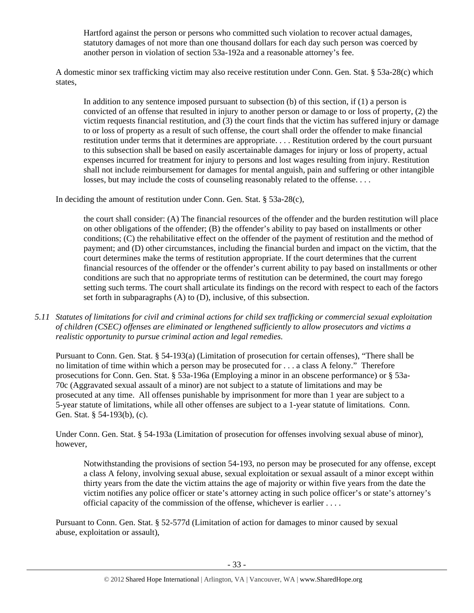Hartford against the person or persons who committed such violation to recover actual damages, statutory damages of not more than one thousand dollars for each day such person was coerced by another person in violation of section 53a-192a and a reasonable attorney's fee.

A domestic minor sex trafficking victim may also receive restitution under Conn. Gen. Stat. § 53a-28(c) which states,

In addition to any sentence imposed pursuant to subsection (b) of this section, if (1) a person is convicted of an offense that resulted in injury to another person or damage to or loss of property, (2) the victim requests financial restitution, and (3) the court finds that the victim has suffered injury or damage to or loss of property as a result of such offense, the court shall order the offender to make financial restitution under terms that it determines are appropriate. . . . Restitution ordered by the court pursuant to this subsection shall be based on easily ascertainable damages for injury or loss of property, actual expenses incurred for treatment for injury to persons and lost wages resulting from injury. Restitution shall not include reimbursement for damages for mental anguish, pain and suffering or other intangible losses, but may include the costs of counseling reasonably related to the offense. . . .

In deciding the amount of restitution under Conn. Gen. Stat. § 53a-28(c),

the court shall consider: (A) The financial resources of the offender and the burden restitution will place on other obligations of the offender; (B) the offender's ability to pay based on installments or other conditions; (C) the rehabilitative effect on the offender of the payment of restitution and the method of payment; and (D) other circumstances, including the financial burden and impact on the victim, that the court determines make the terms of restitution appropriate. If the court determines that the current financial resources of the offender or the offender's current ability to pay based on installments or other conditions are such that no appropriate terms of restitution can be determined, the court may forego setting such terms. The court shall articulate its findings on the record with respect to each of the factors set forth in subparagraphs (A) to (D), inclusive, of this subsection.

*5.11 Statutes of limitations for civil and criminal actions for child sex trafficking or commercial sexual exploitation of children (CSEC) offenses are eliminated or lengthened sufficiently to allow prosecutors and victims a realistic opportunity to pursue criminal action and legal remedies.* 

Pursuant to Conn. Gen. Stat. § 54-193(a) (Limitation of prosecution for certain offenses), "There shall be no limitation of time within which a person may be prosecuted for . . . a class A felony." Therefore prosecutions for Conn. Gen. Stat. § 53a-196a (Employing a minor in an obscene performance) or § 53a-70c (Aggravated sexual assault of a minor) are not subject to a statute of limitations and may be prosecuted at any time. All offenses punishable by imprisonment for more than 1 year are subject to a 5-year statute of limitations, while all other offenses are subject to a 1-year statute of limitations. Conn. Gen. Stat. § 54-193(b), (c).

Under Conn. Gen. Stat. § 54-193a (Limitation of prosecution for offenses involving sexual abuse of minor), however,

Notwithstanding the provisions of section 54-193, no person may be prosecuted for any offense, except a class A felony, involving sexual abuse, sexual exploitation or sexual assault of a minor except within thirty years from the date the victim attains the age of majority or within five years from the date the victim notifies any police officer or state's attorney acting in such police officer's or state's attorney's official capacity of the commission of the offense, whichever is earlier . . . .

Pursuant to Conn. Gen. Stat. § 52-577d (Limitation of action for damages to minor caused by sexual abuse, exploitation or assault),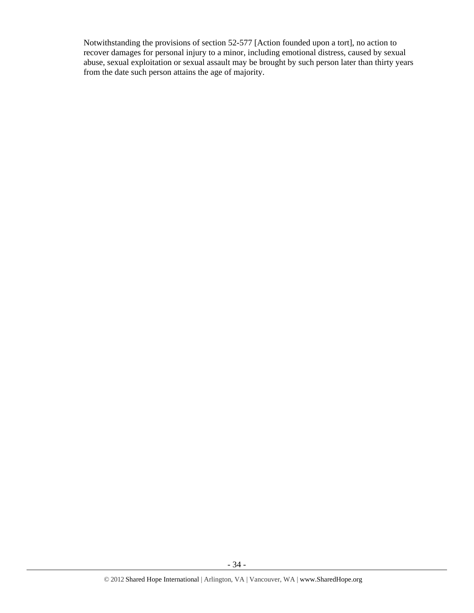Notwithstanding the provisions of section 52-577 [Action founded upon a tort], no action to recover damages for personal injury to a minor, including emotional distress, caused by sexual abuse, sexual exploitation or sexual assault may be brought by such person later than thirty years from the date such person attains the age of majority.

- 34 -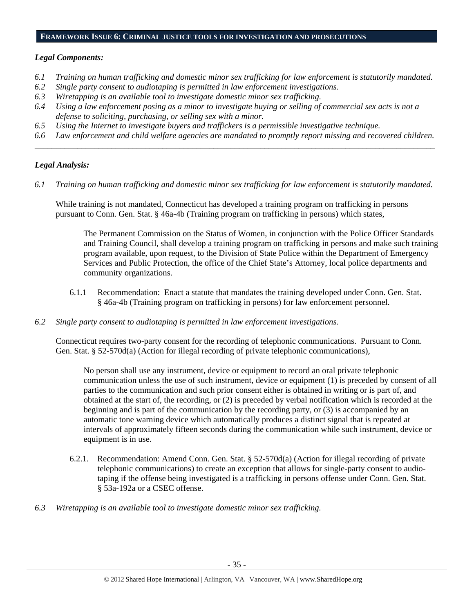#### **FRAMEWORK ISSUE 6: CRIMINAL JUSTICE TOOLS FOR INVESTIGATION AND PROSECUTIONS**

## *Legal Components:*

- *6.1 Training on human trafficking and domestic minor sex trafficking for law enforcement is statutorily mandated.*
- *6.2 Single party consent to audiotaping is permitted in law enforcement investigations.*
- *6.3 Wiretapping is an available tool to investigate domestic minor sex trafficking.*
- *6.4 Using a law enforcement posing as a minor to investigate buying or selling of commercial sex acts is not a defense to soliciting, purchasing, or selling sex with a minor.*
- *6.5 Using the Internet to investigate buyers and traffickers is a permissible investigative technique.*
- *6.6 Law enforcement and child welfare agencies are mandated to promptly report missing and recovered children. \_\_\_\_\_\_\_\_\_\_\_\_\_\_\_\_\_\_\_\_\_\_\_\_\_\_\_\_\_\_\_\_\_\_\_\_\_\_\_\_\_\_\_\_\_\_\_\_\_\_\_\_\_\_\_\_\_\_\_\_\_\_\_\_\_\_\_\_\_\_\_\_\_\_\_\_\_\_\_\_\_\_\_\_\_\_\_\_\_\_\_\_\_\_*

# *Legal Analysis:*

*6.1 Training on human trafficking and domestic minor sex trafficking for law enforcement is statutorily mandated.* 

While training is not mandated, Connecticut has developed a training program on trafficking in persons pursuant to Conn. Gen. Stat. § 46a-4b (Training program on trafficking in persons) which states,

The Permanent Commission on the Status of Women, in conjunction with the Police Officer Standards and Training Council, shall develop a training program on trafficking in persons and make such training program available, upon request, to the Division of State Police within the Department of Emergency Services and Public Protection, the office of the Chief State's Attorney, local police departments and community organizations.

- 6.1.1 Recommendation: Enact a statute that mandates the training developed under Conn. Gen. Stat. § 46a-4b (Training program on trafficking in persons) for law enforcement personnel.
- *6.2 Single party consent to audiotaping is permitted in law enforcement investigations.*

Connecticut requires two-party consent for the recording of telephonic communications. Pursuant to Conn. Gen. Stat. § 52-570d(a) (Action for illegal recording of private telephonic communications),

No person shall use any instrument, device or equipment to record an oral private telephonic communication unless the use of such instrument, device or equipment (1) is preceded by consent of all parties to the communication and such prior consent either is obtained in writing or is part of, and obtained at the start of, the recording, or (2) is preceded by verbal notification which is recorded at the beginning and is part of the communication by the recording party, or (3) is accompanied by an automatic tone warning device which automatically produces a distinct signal that is repeated at intervals of approximately fifteen seconds during the communication while such instrument, device or equipment is in use.

- 6.2.1. Recommendation: Amend Conn. Gen. Stat. § 52-570d(a) (Action for illegal recording of private telephonic communications) to create an exception that allows for single-party consent to audiotaping if the offense being investigated is a trafficking in persons offense under Conn. Gen. Stat. § 53a-192a or a CSEC offense.
- *6.3 Wiretapping is an available tool to investigate domestic minor sex trafficking.*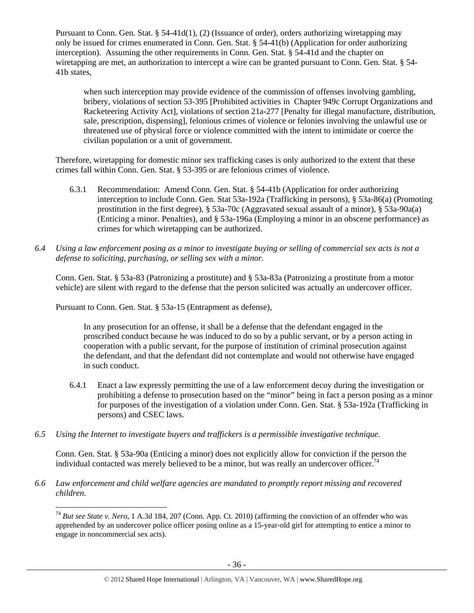Pursuant to Conn. Gen. Stat. § 54-41d(1), (2) (Issuance of order), orders authorizing wiretapping may only be issued for crimes enumerated in Conn. Gen. Stat. § 54-41(b) (Application for order authorizing interception). Assuming the other requirements in Conn. Gen. Stat. § 54-41d and the chapter on wiretapping are met, an authorization to intercept a wire can be granted pursuant to Conn. Gen. Stat. § 54- 41b states,

when such interception may provide evidence of the commission of offenses involving gambling, bribery, violations of section 53-395 [Prohibited activities in Chapter 949c Corrupt Organizations and Racketeering Activity Act], violations of section 21a-277 [Penalty for illegal manufacture, distribution, sale, prescription, dispensing], felonious crimes of violence or felonies involving the unlawful use or threatened use of physical force or violence committed with the intent to intimidate or coerce the civilian population or a unit of government.

Therefore, wiretapping for domestic minor sex trafficking cases is only authorized to the extent that these crimes fall within Conn. Gen. Stat. § 53-395 or are felonious crimes of violence.

- 6.3.1 Recommendation: Amend Conn. Gen. Stat. § 54-41b (Application for order authorizing interception to include Conn. Gen. Stat 53a-192a (Trafficking in persons), § 53a-86(a) (Promoting prostitution in the first degree), § 53a-70c (Aggravated sexual assault of a minor), § 53a-90a(a) (Enticing a minor. Penalties), and § 53a-196a (Employing a minor in an obscene performance) as crimes for which wiretapping can be authorized.
- *6.4 Using a law enforcement posing as a minor to investigate buying or selling of commercial sex acts is not a defense to soliciting, purchasing, or selling sex with a minor.*

Conn. Gen. Stat. § 53a-83 (Patronizing a prostitute) and § 53a-83a (Patronizing a prostitute from a motor vehicle) are silent with regard to the defense that the person solicited was actually an undercover officer.

Pursuant to Conn. Gen. Stat. § 53a-15 (Entrapment as defense),

 $\overline{a}$ 

In any prosecution for an offense, it shall be a defense that the defendant engaged in the proscribed conduct because he was induced to do so by a public servant, or by a person acting in cooperation with a public servant, for the purpose of institution of criminal prosecution against the defendant, and that the defendant did not contemplate and would not otherwise have engaged in such conduct.

- 6.4.1 Enact a law expressly permitting the use of a law enforcement decoy during the investigation or prohibiting a defense to prosecution based on the "minor" being in fact a person posing as a minor for purposes of the investigation of a violation under Conn. Gen. Stat. § 53a-192a (Trafficking in persons) and CSEC laws.
- *6.5 Using the Internet to investigate buyers and traffickers is a permissible investigative technique.*

Conn. Gen. Stat. § 53a-90a (Enticing a minor) does not explicitly allow for conviction if the person the individual contacted was merely believed to be a minor, but was really an undercover officer.<sup>74</sup>

*6.6 Law enforcement and child welfare agencies are mandated to promptly report missing and recovered children.* 

<sup>74</sup> *But see State v. Nero*, 1 A.3d 184, 207 (Conn. App. Ct. 2010) (affirming the conviction of an offender who was apprehended by an undercover police officer posing online as a 15-year-old girl for attempting to entice a minor to engage in noncommercial sex acts).